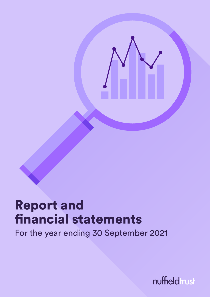

# Report and financial statements

For the year ending 30 September 2021

nuffieldtrust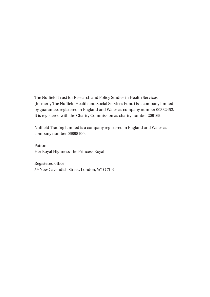The Nuffield Trust for Research and Policy Studies in Health Services (formerly The Nuffield Health and Social Services Fund) is a company limited by guarantee, registered in England and Wales as company number 00382452. It is registered with the Charity Commission as charity number 209169.

Nuffield Trading Limited is a company registered in England and Wales as company number 06898100.

Patron Her Royal Highness The Princess Royal

Registered office 59 New Cavendish Street, London, W1G 7LP.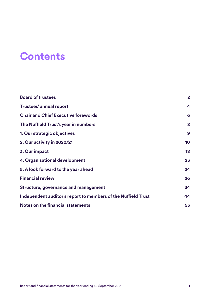## **Contents**

| <b>Board of trustees</b>                                      | $\overline{2}$ |
|---------------------------------------------------------------|----------------|
| <b>Trustees' annual report</b>                                | 4              |
| <b>Chair and Chief Executive forewords</b>                    | 6              |
| The Nuffield Trust's year in numbers                          | 8              |
| 1. Our strategic objectives                                   | 9              |
| 2. Our activity in 2020/21                                    | 10             |
| 3. Our impact                                                 | 18             |
| 4. Organisational development                                 | 23             |
| 5. A look forward to the year ahead                           | 24             |
| <b>Financial review</b>                                       | 26             |
| <b>Structure, governance and management</b>                   | 34             |
| Independent auditor's report to members of the Nuffield Trust | 44             |
| Notes on the financial statements                             | 53             |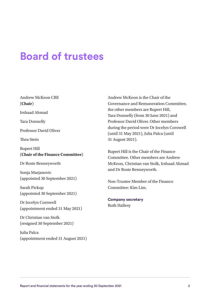### <span id="page-3-0"></span>**Board of trustees**

Andrew McKeon CBE (**Chair**)

Irshaad Ahmad

Tara Donnelly

Professor David Oliver

Thea Stein

Rupert Hill (**Chair of the Finance Committee**)

Dr Rosie Benneyworth

Sonja Marjanovic (appointed 30 September 2021)

Sarah Pickup (appointed 30 September 2021)

Dr Jocelyn Cornwell (appointment ended 31 May 2021)

Dr Christian van Stolk (resigned 30 September 2021)

Julia Palca (appointment ended 31 August 2021) Andrew McKeon is the Chair of the Governance and Remuneration Committee, the other members are Rupert Hill, Tara Donnelly (from 30 June 2021) and Professor David Oliver. Other members during the period were Dr Jocelyn Cornwell (until 31 May 2021), Julia Palca (until 31 August 2021).

Rupert Hill is the Chair of the Finance Committee. Other members are Andrew McKeon, Christian van Stolk, Irshaad Ahmad and Dr Rosie Benneyworth.

Non-Trustee Member of the Finance Committee: Kim Lim.

**Company secretary** Ruth Hallesy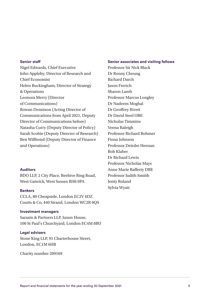#### **Senior staff**

Nigel Edwards, Chief Executive John Appleby, Director of Research and Chief Economist Helen Buckingham, Director of Strategy & Operations Leonora Merry (Director of Communications) Rowan Dennison (Acting Director of Communications from April 2021, Deputy Director of Communications before) Natasha Curry (Deputy Director of Policy) Sarah Scobie (Deputy Director of Research) Ben Willbond (Deputy Director of Finance and Operations)

#### **Auditors**

BDO LLP, 2 City Place, Beehive Ring Road, West Gatwick, West Sussex RH6 0PA

#### **Bankers**

CCLA, 80 Cheapside, London EC2V 6DZ Coutts & Co, 440 Strand, London WC2R 0QS

#### **Investment managers**

Sarasin & Partners LLP, Juxon House, 100 St Paul's Churchyard, London EC4M 8BU

#### **Legal advisers**

Stone King LLP, 91 Charterhouse Street, London, EC1M 6HR

Charity number 209169

**Senior associates and visiting fellows** Professor Sir Nick Black Dr Ronny Cheung Richard Darch Jason Frerich Sharon Lamb Professor Marcus Longley Dr Nadeem Moghal Dr Geoffrey Rivett Dr David Steel OBE Nicholas Timmins Veena Raleigh Professor Richard Bohmer Fiona Johnson Professor Deirdre Heenan Bob Klaber Dr Richard Lewis Professor Nicholas Mays Anne Marie Rafferty DBE Professor Judith Smiith Jonty Roland Sylvia Wyatt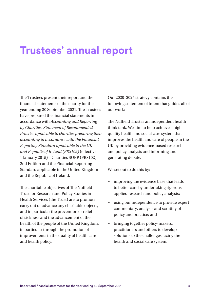### <span id="page-5-0"></span>**Trustees' annual report**

The Trustees present their report and the financial statements of the charity for the year ending 30 September 2021. The Trustees have prepared the financial statements in accordance with *Accounting and Reporting by Charities: Statement of Recommended Practice applicable to charities preparing their accounting in accordance with the Financial Reporting Standard applicable in the UK and Republic of Ireland (FRS102)* (effective 1 January 2015) – Charities SORP (FRS102) 2nd Edition and the Financial Reporting Standard applicable in the United Kingdom and the Republic of Ireland.

The charitable objectives of The Nuffield Trust for Research and Policy Studies in Health Services (the Trust) are to promote, carry out or advance any charitable objects, and in particular the prevention or relief of sickness and the advancement of the health of the people of the United Kingdom, in particular through the promotion of improvements in the quality of health care and health policy.

Our 2020–2025 strategy contains the following statement of intent that guides all of our work:

The Nuffield Trust is an independent health think tank. We aim to help achieve a highquality health and social care system that improves the health and care of people in the UK by providing evidence-based research and policy analysis and informing and generating debate.

We set out to do this by:

- improving the evidence base that leads to better care by undertaking rigorous applied research and policy analysis;
- using our independence to provide expert commentary, analysis and scrutiny of policy and practice; and
- bringing together policy-makers, practitioners and others to develop solutions to the challenges facing the health and social care system.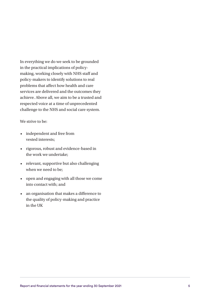In everything we do we seek to be grounded in the practical implications of policymaking, working closely with NHS staff and policy-makers to identify solutions to real problems that affect how health and care services are delivered and the outcomes they achieve. Above all, we aim to be a trusted and respected voice at a time of unprecedented challenge to the NHS and social care system.

#### We strive to be:

- independent and free from vested interests;
- rigorous, robust and evidence-based in the work we undertake;
- relevant, supportive but also challenging when we need to be;
- open and engaging with all those we come into contact with; and
- an organisation that makes a difference to the quality of policy-making and practice in the UK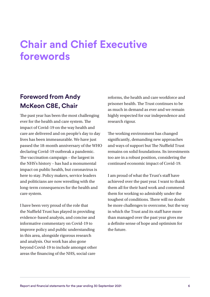# <span id="page-7-0"></span>**Chair and Chief Executive forewords**

### **Foreword from Andy McKeon CBE, Chair**

The past year has been the most challenging ever for the health and care system. The impact of Covid-19 on the way health and care are delivered and on people's day to day lives has been immeasurable. We have just passed the 18-month anniversary of the WHO declaring Covid-19 outbreak a pandemic. The vaccination campaign – the largest in the NHS's history – has had a monumental impact on public health, but coronavirus is here to stay. Policy makers, service leaders and politicians are now wrestling with the long-term consequences for the health and care system.

I have been very proud of the role that the Nuffield Trust has played in providing evidence-based analysis, and concise and informative commentary on Covid-19 to improve policy and public understanding in this area, alongside rigorous research and analysis. Our work has also gone beyond Covid-19 to include amongst other areas the financing of the NHS, social care

reforms, the health and care workforce and prisoner health. The Trust continues to be as much in demand as ever and we remain highly respected for our independence and research rigour.

The working environment has changed significantly, demanding new approaches and ways of support but The Nuffield Trust remains on solid foundations. Its investments too are in a robust position, considering the continued economic impact of Covid-19.

I am proud of what the Trust's staff have achieved over the past year. I want to thank them all for their hard work and commend them for working so admirably under the toughest of conditions. There will no doubt be more challenges to overcome, but the way in which the Trust and its staff have more than managed over the past year gives me a definite sense of hope and optimism for the future.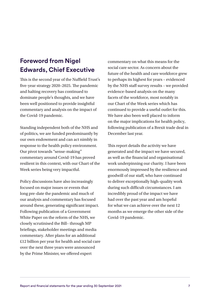### **Foreword from Nigel Edwards, Chief Executive**

This is the second year of the Nuffield Trust's five-year strategy 2020–2025. The pandemic and halting recovery has continued to dominate people's thoughts, and we have been well positioned to provide insightful commentary and analysis on the impact of the Covid-19 pandemic.

Standing independent both of the NHS and of politics, we are funded predominantly by our own endowment and can act nimbly in response to the health policy environment. Our pivot towards "sense-making" commentary around Covid-19 has proved resilient in this context, with our Chart of the Week series being very impactful.

Policy discussions have also increasingly focused on major issues or events that long pre-date the pandemic and much of our analysis and commentary has focused around these, generating significant impact. Following publication of a Government White Paper on the reform of the NHS, we closely scrutinised the Bill– through MP briefings, stakeholder meetings and media commentary. After plans for an additional £12 billion per year for health and social care over the next three years were announced by the Prime Minister, we offered expert

commentary on what this means for the social care sector. As concern about the future of the health and care workforce grew to perhaps its highest for years – evidenced by the NHS staff survey results – we provided evidence-based analysis on the many facets of the workforce, most notably in our Chart of the Week series which has continued to provide a useful outlet for this. We have also been well placed to inform on the major implications for health policy, following publication of a Brexit trade deal in December last year.

This report details the activity we have generated and the impact we have secured, as well as the financial and organisational work underpinning our charity. I have been enormously impressed by the resilience and goodwill of our staff, who have continued to deliver exceptionally high-quality work during such difficult circumstances. I am incredibly proud of the impact we have had over the past year and am hopeful for what we can achieve over the next 12 months as we emerge the other side of the Covid-19 pandemic.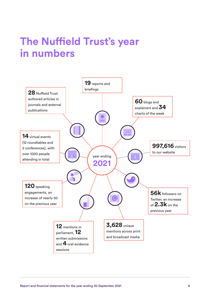# <span id="page-9-0"></span>**The Nuffield Trust's year in numbers**

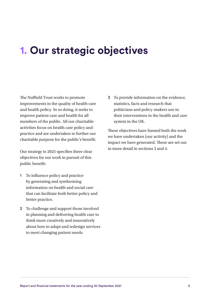## <span id="page-10-0"></span>**1. Our strategic objectives**

The Nuffield Trust works to promote improvements in the quality of health care and health policy. In so doing, it seeks to improve patient care and health for all members of the public. All our charitable activities focus on health care policy and practice and are undertaken to further our charitable purpose for the public's benefit.

Our strategy to 2025 specifies three clear objectives for our work in pursuit of this public benefit:

- 1 To influence policy and practice by generating and synthesising information on health and social care that can facilitate both better policy and better practice.
- 2 To challenge and support those involved in planning and delivering health care to think more creatively and innovatively about how to adapt and redesign services to meet changing patient needs.

3 To provide information on the evidence, statistics, facts and research that politicians and policy-makers use in their interventions in the health and care system in the UK.

These objectives have framed both the work we have undertaken (our activity) and the impact we have generated. These are set out in more detail in sections 3 and 4.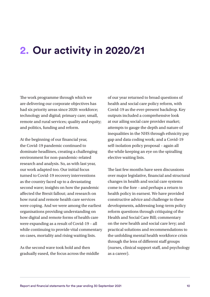## <span id="page-11-0"></span>**2. Our activity in 2020/21**

The work programme through which we are delivering our corporate objectives has had six priority areas since 2020: workforce; technology and digital; primary care; small, remote and rural services; quality and equity; and politics, funding and reform.

At the beginning of our financial year, the Covid-19 pandemic continued to dominate headlines, creating a challenging environment for non-pandemic-related research and analysis. So, as with last year, our work adapted too. Our initial focus turned to Covid-19 recovery interventions as the country faced up to a devastating second wave; insights on how the pandemic affected the Brexit fallout; and research on how rural and remote health care services were coping. And we were among the earliest organisations providing understanding on how digital and remote forms of health care were expanding as a result of Covid-19 – all while continuing to provide vital commentary on cases, mortality and rising waiting lists.

As the second wave took hold and then gradually eased, the focus across the middle of our year returned to broad questions of health and social care policy reform, with Covid-19 as the ever-present backdrop. Key outputs included a comprehensive look at our ailing social care provider market; attempts to gauge the depth and nature of inequalities in the NHS through ethnicity pay gap and data coding work; and a Covid-19 self-isolation policy proposal – again all the while keeping an eye on the spiralling elective waiting lists.

The last few months have seen discussions over major legislative, financial and structural changes in health and social care systems come to the fore – and perhaps a return to health policy in earnest. We have provided constructive advice and challenge to these developments, addressing long-term policy reform questions through critiquing of the Health and Social Care Bill; commentary on the new health and social care levy; and practical solutions and recommendations to the unfolding mental health workforce crisis through the lens of different staff groups (nurses, clinical support staff, and psychology as a career).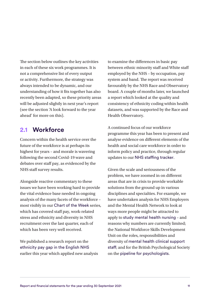The section below outlines the key activities in each of these six work programmes. It is not a comprehensive list of every output or activity. Furthermore, the strategy was always intended to be dynamic, and our understanding of how it fits together has also recently been adapted, so these priority areas will be adjusted slightly in next year's report (see the section 'A look forward to the year ahead' for more on this).

#### **2.1 Workforce**

Concern within the health service over the future of the workforce is at perhaps its highest for years – and morale is wavering following the second Covid-19 wave and debates over staff pay, as evidenced by the NHS staff survey results.

Alongside reactive commentary to these issues we have been working hard to provide the vital evidence base needed in ongoing analysis of the many facets of the workforce – most visibly in our [Chart of the Week](https://www.nuffieldtrust.org.uk/search?search=chart+of+the+week) series, which has covered staff pay, work-related stress and ethnicity and diversity in NHS recruitment over the last quarter, each of which has been very well received.

We published a research report on the [ethnicity pay gap in the English NHS](https://www.nuffieldtrust.org.uk/research/the-ethnicity-pay-gap-in-the-english-nhs) earlier this year which applied new analysis to examine the differences in basic pay between ethnic minority staff and White staff employed by the NHS – by occupation, pay system and band. The report was received favourably by the NHS Race and Observatory board. A couple of months later, we launched a report which looked at the quality and consistency of ethnicity coding within health datasets, and was supported by the Race and Health Observatory.

A continued focus of our workforce programme this year has been to present and analyse evidence on different elements of the health and social care workforce in order to inform policy and practice, through regular updates to our [NHS staffing tracker](https://www.nuffieldtrust.org.uk/nhs-staffing-tracker).

Given the scale and seriousness of the problem, we have zoomed in on different areas that are in crisis to provide workable solutions from the ground up in various disciplines and specialties. For example, we have undertaken analysis for NHS Employers and the Mental Health Network to look at ways more people might be attracted to apply to [study mental health nursing](https://www.nuffieldtrust.org.uk/research/laying-foundations-attitudes-and-access-to-mental-health-nurse-education) – and reasons why numbers are currently limited; the National Workforce Skills Development Unit on the roles, responsibilities and diversity of [mental health clinical support](https://www.nuffieldtrust.org.uk/research/untapped-understanding-the-mental-health-clinical-support)  [staff](https://www.nuffieldtrust.org.uk/research/untapped-understanding-the-mental-health-clinical-support); and for the British Psychological Society on the [pipeline for psychologists](https://www.nuffieldtrust.org.uk/research/the-right-track-participation-and-progression-in-psychology-career-paths).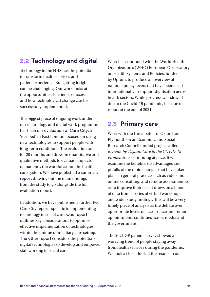### **2.2 Technology and digital**

Technology in the NHS has the potential to transform health services and patient experience. But getting it right can be challenging. Our work looks at the opportunities, barriers to success and how technological change can be successfully implemented.

The biggest piece of ongoing work under our technology and digital work programme has been our [evaluation of Care City](https://www.nuffieldtrust.org.uk/project/care-city), a 'test bed' in East London focused on using new technologies to support people with long-term conditions. The evaluation ran for 20 months and drew on quantitative and qualitative methods to evaluate impacts on patients, the workforce and the health care system. We have published a [summary](https://www.nuffieldtrust.org.uk/research/10-practical-lessons-for-implementing-digital-innovations-learning-from-the-care-city-test-bed)  [report](https://www.nuffieldtrust.org.uk/research/10-practical-lessons-for-implementing-digital-innovations-learning-from-the-care-city-test-bed) drawing out the main findings from the study to go alongside the full evaluation report.

In addition, we have published a further two Care City reports specific to implementing technology in social care. [One report](https://www.nuffieldtrust.org.uk/research/6-practical-lessons-for-implementing-technology-in-domiciliary-care) outlines key considerations to optimise effective implementation of technologies within the unique domiciliary care setting. [The other report](https://www.nuffieldtrust.org.uk/research/developing-the-digital-skills-of-the-social-care-workforce) considers the potential of digital technologies to develop and empower staff working in social care.

Work has continued with the World Health Organization's (WHO) European Observatory on Health Systems and Policies, funded by Optum, to produce an overview of national policy levers that have been used internationally to support digitisation across health sectors. While progress was slowed due to the Covid-19 pandemic, it is due to report at the end of 2021.

#### **2.3 Primary care**

Work with the Universities of Oxford and Plymouth on an Economic and Social Research Council funded project called *Remote-by-Default Care in the COVID-19 Pandemic*, is continuing at pace. It will examine the benefits, disadvantages and pitfalls of the rapid changes that have taken place in general practice such as video and online consulting, and remote assessment, so as to improve their use. It draws on a blend of data from a series of virtual workshops and wider study findings. This will be a very timely piece of analysis as the debate over appropriate levels of face-to-face and remote appointments continues across media and the government.

The 2021 GP patient survey showed a worrying trend of people staying away from health services during the pandemic. We took a closer look at the results in our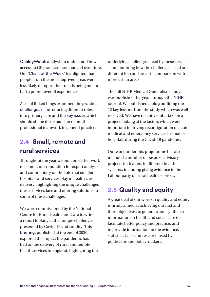[QualityWatch](https://www.nuffieldtrust.org.uk/resource/access-to-gp-services) analysis to understand how access to GP practices has changed over time. Our ['Chart of the Week'](https://www.nuffieldtrust.org.uk/resource/chart-of-the-week-how-does-patient-experience-of-general-practice-vary-with-deprivation) highlighted that people from the most deprived areas were less likely to report their needs being met or had a poorer overall experience.

A set of linked blogs examined the [practical](https://www.nuffieldtrust.org.uk/news-item/addressing-the-practical-challenges-of-multidisciplinary-teamwork-in-primary-care)  [challenges](https://www.nuffieldtrust.org.uk/news-item/addressing-the-practical-challenges-of-multidisciplinary-teamwork-in-primary-care) of introducing different roles into primary care and the [key issues](https://www.nuffieldtrust.org.uk/news-item/what-should-shape-the-expansion-of-multi-professional-teamwork-in-general-practice) which should shape the expansion of multiprofessional teamwork in general practice.

#### **2.4 Small, remote and rural services**

Throughout the year we built on earlier work to cement our reputation for expert analysis and commentary on the role that smaller hospitals and services play in health care delivery, highlighting the unique challenges these services face and offering solutions to some of these challenges.

We were commissioned by the National Centre for Rural Health and Care to write a report looking at the unique challenges presented by Covid-19 and rurality. This [briefing](https://www.nuffieldtrust.org.uk/research/rural-remote-and-at-risk), published at the end of 2020, explored the impact the pandemic has had on the delivery of rural and remote health services in England, highlighting the underlying challenges faced by these services – and outlining how the challenges faced are different for rural areas in comparison with more urban areas.

The full NIHR Medical Generalism study was published this year, through the [NIHR](https://www.journalslibrary.nihr.ac.uk/hsdr/hsdr09040/#/abstract)  [journal](https://www.journalslibrary.nihr.ac.uk/hsdr/hsdr09040/#/abstract). We published a [blog](https://www.nuffieldtrust.org.uk/news-item/it-s-not-just-about-the-front-door-of-the-hospital-lessons-from-the-medical-generalism-in-smaller-hospitals-study) outlining the 12 key lessons from the study which was well received. We have recently embarked on a project looking at the factors which were important in driving reconfiguration of acute medical and emergency services in smaller hospitals during the Covid-19 pandemic.

Our work under this programme has also included a number of bespoke advisory projects for leaders in different health systems, including giving evidence to the Labour party on rural health services.

#### **2.5 Quality and equity**

A great deal of our work on quality and equity is firmly aimed at achieving our first and third objectives: to generate and synthesise information on health and social care to facilitate better policy and practice; and to provide information on the evidence, statistics, facts and research used by politicians and policy-makers.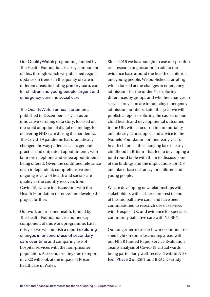Our [QualityWatch](https://www.nuffieldtrust.org.uk/qualitywatch) programme, funded by The Health Foundation, is a key component of this, through which we published regular updates on trends in the quality of care in different areas, including [primary care](https://www.nuffieldtrust.org.uk/news-item/primary-care-1), care for [children and young people](https://www.nuffieldtrust.org.uk/news-item/children-and-young-people-1), [urgent and](https://www.nuffieldtrust.org.uk/news-item/urgent-and-emergency-care)  [emergency care](https://www.nuffieldtrust.org.uk/news-item/urgent-and-emergency-care) and [social care](https://www.nuffieldtrust.org.uk/news-item/social-care).

The [QualityWatch annual statement](https://www.nuffieldtrust.org.uk/files/2020-12/QWAS/digital-and-remote-care-in-covid-19.html#1), published in December last year as an innovative scrolling data story, focused on the rapid adoption of digital technology for delivering NHS care during the pandemic. The Covid-19 pandemic has dramatically changed the way patients access general practice and outpatient appointments, with far more telephone and video appointments being offered. Given the continued relevance of an independent, comprehensive and ongoing review of health and social care quality as the country recovers from Covid-19, we are in discussions with the Health Foundation to renew and develop the project further.

Our work on prisoner health, funded by The Health Foundation, is another key component of this work programme. Later this year we will publish a report [exploring](https://www.nuffieldtrust.org.uk/project/prisoner-health-prisoners-use-of-secondary-care-services)  [changes in prisoners' use of secondary](https://www.nuffieldtrust.org.uk/project/prisoner-health-prisoners-use-of-secondary-care-services)  [care over time](https://www.nuffieldtrust.org.uk/project/prisoner-health-prisoners-use-of-secondary-care-services) and comparing use of hospital services with the non-prisoner population. A second briefing due to report in 2022 will look at the impact of Prison healthcare in Wales.

Since 2016 we have sought to use our position as a research organisation to add to the evidence base around the health of children and young people. We published a [briefing](https://www.nuffieldtrust.org.uk/research/can-variation-help-to-explain-the-rise-in-emergency-admissions-for-children-aged-under-five-up-to-2018-19) which looked at the changes in emergency admissions for the under 5s, exploring differences by groups and whether changes to service provision are influencing emergency admission numbers. Later this year we will publish a report exploring the causes of poor child health and developmental outcomes in the UK, with a focus on infant mortality and obesity. Our support and advice to the Nuffield Foundation for their early year's health chapter – the changing face of early childhood in Britain – has led to developing a joint round table with them to discuss some of the findings and the implications for ICS and place-based strategy for children and young people.

We are developing new relationships with stakeholders with a shared interest in end of life and palliative care, and have been commissioned to research use of services with Hospice UK, and evidence for specialist community palliative care with NHSE/I.

Our longer-term research work continues to shed light on some fascinating areas, with our NIHR funded Rapid Service Evaluation Teams analysis of Covid-19 virtual wards being particularly well-received within NHS E&I. [Phase 2](https://www.nuffieldtrust.org.uk/project/evaluation-of-covid-oximetry-at-home-models-during-the-covid-19-pandemic-in-the-uk-overview-and-phase-2) of RSET and BRACE's study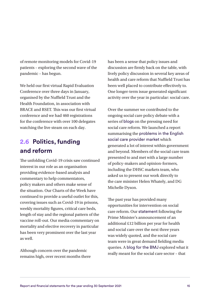of remote monitoring models for Covid-19 patients – exploring the second wave of the pandemic – has begun.

We held our first virtual Rapid Evaluation Conference over three days in January, organised by the Nuffield Trust and the Health Foundation, in association with BRACE and RSET. This was our first virtual conference and we had 460 registrations for the conference with over 100 delegates watching the live steam on each day.

### **2.6 Politics, funding and reform**

The unfolding Covid-19 crisis saw continued interest in our role as an organisation providing evidence-based analysis and commentary to help commentators, policy makers and others make sense of the situation. Our Charts of the Week have continued to provide a useful outlet for this, covering issues such as Covid-19 in prisons, weekly mortality figures, critical care beds, length of stay and the regional pattern of the vaccine roll-out. Our media commentary on mortality and elective recovery in particular has been very prominent over the last year as well.

Although concern over the pandemic remains high, over recent months there has been a sense that policy issues and discussion are firmly back on the table, with lively policy discussion in several key areas of health and care reform that Nuffield Trust has been well placed to contribute effectively to. One longer-term issue generated significant activity over the year in particular: social care.

Over the summer we contributed to the ongoing social care policy debate with a series of [blogs](https://www.nuffieldtrust.org.uk/search?search=social+care&filters_type=search&years%5B%5D=2021&years%5B%5D=2020&apply=) on the pressing need for social care reform. We launched a report summarising the [problems in the English](https://www.nuffieldtrust.org.uk/research/fractured-and-forgotten-the-social-care-provider-market-in-england)  [social care provider market](https://www.nuffieldtrust.org.uk/research/fractured-and-forgotten-the-social-care-provider-market-in-england) which generated a lot of interest within government and beyond. Members of the social care team presented to and met with a large number of policy-makers and opinion-formers, including the DHSC markets team, who asked us to present our work directly to the care minister Helen Whately, and DG Michelle Dyson.

The past year has provided many opportunities for intervention on social care reform. Our [statement](https://www.nuffieldtrust.org.uk/news-item/care-providers-care-users-and-workers-will-feel-short-changed-by-proposed-health-and-social-care-levy-and-reform) following the Prime Minister's announcement of an additional £12 billion per year for health and social care over the next three years was widely quoted, and the social care team were in great demand fielding media queries. A [blog for the BMJ](https://blogs.bmj.com/bmj/2021/09/10/natasha-curry-the-health-and-care-levy-is-social-care-fixed-now/) explored what it really meant for the social care sector – that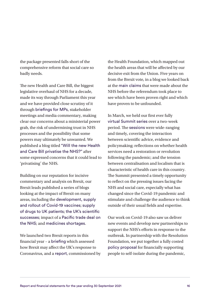the package presented falls short of the comprehensive reform that social care so badly needs.

The new Health and Care Bill, the biggest legislative overhaul of NHS for a decade, made its way through Parliament this year and we have provided close scrutiny of it through [briefings for MPs](https://www.nuffieldtrust.org.uk/resource/second-reading-of-the-health-and-care-bill), stakeholder meetings and media commentary, making clear our concerns about a ministerial power grab, the risk of undermining trust in NHS processes and the possibility that some powers may ultimately be unwanted. We published a blog titled ["Will the new Health](https://www.nuffieldtrust.org.uk/news-item/will-the-new-health-and-care-bill-privatise-the-nhs)  [and Care Bill privatise the NHS?"](https://www.nuffieldtrust.org.uk/news-item/will-the-new-health-and-care-bill-privatise-the-nhs) after some expressed concerns that it could lead to 'privatising' the NHS.

Building on our reputation for incisive commentary and analysis on Brexit, our Brexit leads published a series of blogs looking at the impact of Brexit on many areas, including the [development, supply](https://www.nuffieldtrust.org.uk/news-item/brexit-and-the-coronavirus-vaccine)  [and rollout of Covid-19 vaccines](https://www.nuffieldtrust.org.uk/news-item/brexit-and-the-coronavirus-vaccine); [supply](https://www.nuffieldtrust.org.uk/news-item/how-will-brexit-affect-the-supply-of-drugs-to-uk-patients)  [of drugs to UK patients](https://www.nuffieldtrust.org.uk/news-item/how-will-brexit-affect-the-supply-of-drugs-to-uk-patients); [the UK's scientific](https://www.nuffieldtrust.org.uk/news-item/the-end-of-an-era-brexit-s-impact-on-the-uk-s-scientific-successes)  [successes](https://www.nuffieldtrust.org.uk/news-item/the-end-of-an-era-brexit-s-impact-on-the-uk-s-scientific-successes); impact of a [Pacific trade deal on](https://www.nuffieldtrust.org.uk/news-item/will-the-nhs-be-on-the-table-for-a-pacific-trade-deal)  [the NHS](https://www.nuffieldtrust.org.uk/news-item/will-the-nhs-be-on-the-table-for-a-pacific-trade-deal); and [medicines shortages](https://www.nuffieldtrust.org.uk/news-item/what-happened-to-those-brexit-medicines-shortages).

We launched two Brexit reports in this financial year – a [briefing](https://www.nuffieldtrust.org.uk/research/how-will-brexit-affect-the-uk-s-response-to-coronavirus) which assessed how Brexit may affect the UK's response to Coronavirus, and a [report](https://www.nuffieldtrust.org.uk/research/understanding-the-impact-of-brexit-on-health-in-the-uk), commissioned by the Health Foundation, which mapped out the health areas that will be affected by our decisive exit from the Union. Five years on from the Brexit vote, in a blog we looked back at the [main claims](https://www.nuffieldtrust.org.uk/news-item/the-brexit-referendum-five-years-on-what-has-it-meant-for-the-nhs) that were made about the NHS before the referendum took place to see which have been proven right and which have proven to be unfounded.

In March, we held our first ever fully [virtual Summit series](https://www.nuffieldtrust.org.uk/summit/summit-series-video/programme-1/) over a two-week period. The [sessions](https://www.nuffieldtrust.org.uk/summit/summit-series-video/watch-again/) were wide-ranging and timely, covering the interaction between scientific advice, evidence and policymaking; reflections on whether health services need a restoration or revolution following the pandemic; and the tension between centralisation and localism that is characteristic of health care in this country. The Summit presented a timely opportunity to reflect on the pressing issues facing the NHS and social care, especially what has changed since the Covid-19 pandemic and stimulate and challenge the audience to think outside of their usual fields and expertise.

Our work on Covid-19 also saw us deliver new events and develop new partnerships to support the NHS's efforts in response to the outbreak. In partnership with the Resolution Foundation, we put together a fully costed [policy proposal](https://www.nuffieldtrust.org.uk/research/tackling-covid-19-a-case-for-better-financial-support-to-self-isolate) for financially supporting people to self-isolate during the pandemic,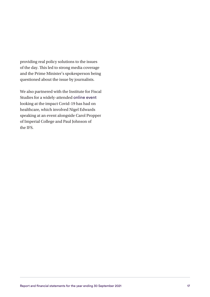providing real policy solutions to the issues of the day. This led to strong media coverage and the Prime Minister's spokesperson being questioned about the issue by journalists.

We also partnered with the Institute for Fiscal Studies for a widely-attended [online event](https://www.nuffieldtrust.org.uk/event/covid-19-and-disruptions-to-health-and-social-care-in-england) looking at the impact Covid-19 has had on healthcare, which involved Nigel Edwards speaking at an event alongside Carol Propper of Imperial College and Paul Johnson of the IFS.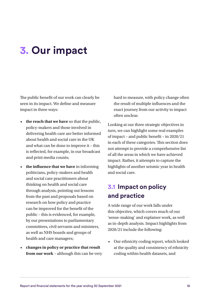## <span id="page-19-0"></span>**3. Our impact**

The public benefit of our work can clearly be seen in its impact. We define and measure impact in three ways:

- **the reach that we have** so that the public, policy-makers and those involved in delivering health care are better informed about health and social care in the UK and what can be done to improve it – this is reflected, for example, in our broadcast and print media counts;
- **the influence that we have** in informing politicians, policy-makers and health and social care practitioners about thinking on health and social care through analysis, pointing out lessons from the past and proposals based on research on how policy and practice can be improved for the benefit of the public – this is evidenced, for example, by our presentations to parliamentary committees, civil servants and ministers, as well as NHS boards and groups of health and care managers;
- **changes in policy or practice that result from our work** – although this can be very

hard to measure, with policy change often the result of multiple influences and the exact journey from our activity to impact often unclear.

Looking at our three strategic objectives in turn, we can highlight some real examples of impact – and public benefit – in 2020/21 in each of these categories. This section does not attempt to provide a comprehensive list of all the areas in which we have achieved impact. Rather, it attempts to capture the highlights of another seismic year in health and social care.

### **3.1 Impact on policy and practice**

A wide range of our work falls under this objective, which covers much of our 'sense-making' and explainer work, as well as in-depth analysis. Impact highlights from 2020/21 include the following:

• Our ethnicity coding report, which looked at the quality and consistency of ethnicity coding within health datasets, and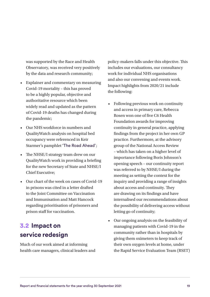was supported by the Race and Health Observatory, was received very positively by the data and research community;

- Explainer and commentary on measuring Covid-19 mortality – this has proved to be a highly popular, objective and authoritative resource which been widely read and updated as the pattern of Covid-19 deaths has changed during the pandemic;
- Our NHS workforce in numbers and QualityWatch analysis on hospital bed occupancy were referenced in Keir Starmer's pamphlet ['The Road Ahead'](https://fabians.org.uk/wp-content/uploads/2021/09/The-Road-Ahead-KEIR-STARMER_web.pdf);
- The NHSE/I strategy team drew on our QualityWatch work in providing a briefing for the new Secretary of State and NHSE/I Chief Executive;
- Our chart of the week on cases of Covid-19 in prisons was cited in a letter drafted to the Joint Committee on Vaccination and Immunisation and Matt Hancock regarding prioritisation of prisoners and prison staff for vaccination.

### **3.2 Impact on service redesign**

Much of our work aimed at informing health care managers, clinical leaders and policy-makers falls under this objective. This includes our evaluations, our consultancy work for individual NHS organisations and also our convening and events work. Impact highlights from 2020/21 include the following:

- Following previous work on continuity and access in primary care, Rebecca Rosen won one of five C6 Health Foundation awards for improving continuity in general practice, applying findings from the project in her own GP practice. Furthermore, at the advisory group of the National Access Review – which has taken on a higher level of importance following Boris Johnson's opening speech – our continuity report was referred to by NHSE/I during the meeting as setting the context for the inquiry and providing a range of insights about access and continuity. They are drawing on its findings and have internalised our recommendations about the possibility of delivering access without letting go of continuity;
- Our ongoing analysis on the feasibility of managing patients with Covid-19 in the community rather than in hospitals by giving them oximeters to keep track of their own oxygen levels at home, under the Rapid Service Evaluation Team (RSET)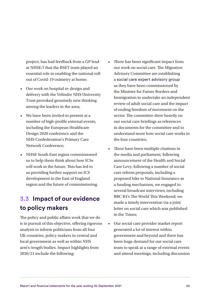project, has had feedback from a GP lead at NHSE/I that the RSET team played an essential role in enabling the national roll out of Covid-19 oximetry at home;

- Our work on hospital re-design and delivery with the Velindre NHS University Trust provoked genuinely new thinking among the leaders in the area;
- We have been invited to present at a number of high-profile external events, including the European Healthcare Design 2020 conference and the NHS Confederation's Primary Care Network Conference;
- NHSE South East region commissioned us to help them think about how ICSs will work in the future. This has led to us providing further support on ICS development in the East of England region and the future of commissioning.

### **3.3 Impact of our evidence to policy makers**

The policy and public affairs work that we do is in pursuit of this objective, offering rigorous analysis to inform politicians from all four UK countries, policy-makers in central and local government as well as within NHS arm's-length bodies. Impact highlights from 2020/21 include the following:

- There has been significant impact from our work on social care. The Migration Advisory Committee are establishing a [social care expert advisory group](https://gbr01.safelinks.protection.outlook.com/?url=https%3A%2F%2Fwww.gov.uk%2Fguidance%2Fsocial-care-expert-advisory-group-expression-of-interest&data=04%7C01%7Czardia.edwards%40nuffieldtrust.org.uk%7Cb0f0270ebf7a45ffacff08d956603ec0%7C3b831e3bee9b4e4194dc5d5c15ce9f27%7C0%7C0%7C637635793623974787%7CUnknown%7CTWFpbGZsb3d8eyJWIjoiMC4wLjAwMDAiLCJQIjoiV2luMzIiLCJBTiI6Ik1haWwiLCJXVCI6Mn0%3D%7C1000&sdata=Hlpnp6jtwceBFZbjWSdFC8vd0aZKQ7fAQQ%2B6M%2FF4HZw%3D&reserved=0) as they have been commissioned by the Minister for Future Borders and Immigration to undertake an independent review of adult social care and the impact of ending freedom of movement on the sector. The committee drew heavily on our social care briefings as references in documents for the committee and to understand more how social care works in the four countries;
- There have been multiple citations in the media and parliament, following announcement of the Health and Social Care Levy; following a number of social care reform proposals, including a proposed hike to National Insurance as a funding mechanism, we engaged in several broadcast interviews, including BBC R4's The World This Weekend; we made a timely intervention via a joint letter on social care which was published in the Times;
- Our social care provider market report generated a lot of interest within government and beyond and there has been huge demand for our social care team to speak at a range of external events and attend meetings, including discussion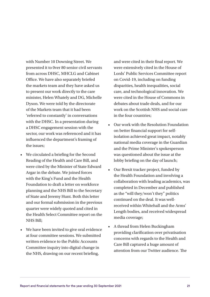with Number 10 Downing Street. We presented it to 0ver 80 senior civil servants from across DHSC, MHCLG and Cabinet Office. We have also separately briefed the markets team and they have asked us to present our work directly to the care minister, Helen Whately and DG, Michelle Dyson. We were told by the directorate of the Markets team that it had been 'referred to constantly' in conversations with the DHSC. In a presentation during a DHSC engagement session with the sector, our work was referenced and it has influenced the department's framing of the issues;

- We circulated a briefing for the Second Reading of the Health and Care Bill, and were cited by the Minister of State Edward Argar in the debate. We joined forces with the King's Fund and the Health Foundation to draft a letter on workforce planning and the NHS Bill to the Secretary of State and Jeremy Hunt. Both this letter and our formal submission in the previous quarter were widely quoted and cited in the Health Select Committee report on the NHS Bill;
- We have been invited to give oral evidence at four committee sessions. We submitted written evidence to the Public Accounts Committee inquiry into digital change in the NHS, drawing on our recent briefing,

and were cited in their final report. We were extensively cited in the House of Lords' Public Services Committee report on Covid-19, including on funding disparities, health inequalities, social care, and technological innovation. We were cited in the House of Commons in debates about trade deals, and for our work on the Scottish NHS and social care in the four countries;

- Our work with the Resolution Foundation on better financial support for selfisolation achieved great impact, notably national media coverage in the Guardian and the Prime Minister's spokesperson was questioned about the issue at the lobby briefing on the day of launch;
- Our Brexit tracker project, funded by the Health Foundation and involving a collaboration with leading academics, was completed in December and published as the "will they/won't they" politics continued on the deal. It was wellreceived within Whitehall and the Arms' Length bodies, and received widespread media coverage;
- A thread from Helen Buckingham providing clarification over privatisation concerns with regards to the Health and Care Bill captured a huge amount of attention from our Twitter audience. The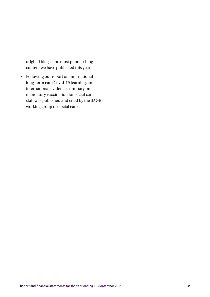original blog is the most popular blog content we have published this year;

• Following our report on international long-term care Covid-19 learning, an international evidence summary on mandatory vaccination for social care staff was published and cited by the SAGE working group on social care.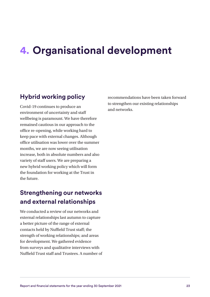## <span id="page-24-0"></span>**4. Organisational development**

#### **Hybrid working policy**

Covid-19 continues to produce an environment of uncertainty and staff wellbeing is paramount. We have therefore remained cautious in our approach to the office re-opening, while working hard to keep pace with external changes. Although office utilisation was lower over the summer months, we are now seeing utilisation increase, both in absolute numbers and also variety of staff users. We are preparing a new hybrid working policy which will form the foundation for working at the Trust in the future.

#### **Strengthening our networks and external relationships**

We conducted a review of our networks and external relationships last autumn to capture a better picture of the range of external contacts held by Nuffield Trust staff; the strength of working relationships; and areas for development. We gathered evidence from surveys and qualitative interviews with Nuffield Trust staff and Trustees. A number of recommendations have been taken forward to strengthen our existing relationships and networks.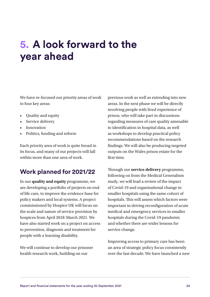# <span id="page-25-0"></span>**5. A look forward to the year ahead**

We have re-focused our priority areas of work to four key areas:

- Quality and equity
- Service delivery
- Innovation
- Politics, funding and reform

Each priority area of work is quite broad in its focus, and many of our projects will fall within more than one area of work.

#### **Work planned for 2021/22**

In our **quality and equity** programme, we are developing a portfolio of projects on end of life care, to improve the evidence base for policy makers and local systems. A project commissioned by Hospice UK will focus on the scale and nature of service provision by hospices from April 2018-March 2021. We have also started work on a project on access to prevention, diagnosis and treatment for people with a learning disability.

We will continue to develop our prisoner health research work, building on our

previous work as well as extending into new areas. In the next phase we will be directly involving people with lived experience of prison, who will take part in discussions regarding measures of care quality amenable to identification in hospital data, as well as workshops to develop practical policy recommendations based on the research findings. We will also be producing targeted outputs on the Wales prison estate for the first time.

Through our **service delivery** programme, following on from the Medical Generalism study, we will lead a review of the impact of Covid-19 and organisational change in smaller hospitals using the same cohort of hospitals. This will assess which factors were important in driving reconfiguration of acute medical and emergency services in smaller hospitals during the Covid-19 pandemic and whether there are wider lessons for service change.

Improving access to primary care has been an area of strategic policy focus consistently over the last decade. We have launched a new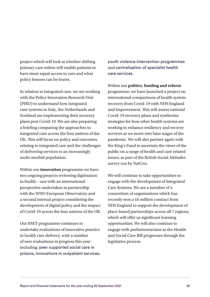project which will look at whether shifting primary care online will enable patients to have more equal access to care and what policy lessons can be learnt.

In relation to integrated care, we are working with the Policy Innovation Research Unit (PIRU) to understand how integrated care systems in Italy, the Netherlands and Scotland are implementing their recovery plans post Covid-19. We are also preparing a briefing comparing the approaches to integrated care across the four nations of the UK. This will focus on policy and outcomes relating to integrated care and the challenges of delivering services to an increasingly multi-morbid population.

Within our **innovation** programme we have two ongoing projects reviewing digitisation in health – one with an international perspective undertaken in partnership with the WHO European Observatory and a second internal project considering the development of digital policy and the impact of Covid-19 across the four nations of the UK.

Our RSET programme continues to undertake evaluations of innovative practice in health care delivery, with a number of new evaluations in progress this year including: [peer supported social care in](https://www.nuffieldtrust.org.uk/project/peer-supported-social-care-in-prisons)  [prisons](https://www.nuffieldtrust.org.uk/project/peer-supported-social-care-in-prisons), [innovations in outpatient services](https://www.nuffieldtrust.org.uk/project/investigating-innovations-in-outpatient-services), [youth violence intervention programmes](https://www.nuffieldtrust.org.uk/project/evaluating-a-youth-violence-intervention-programme) and [centralisation of specialist health](https://www.nuffieldtrust.org.uk/project/centralisation-of-specialist-health-care-services-a-mixed-methods-programme)  [care services](https://www.nuffieldtrust.org.uk/project/centralisation-of-specialist-health-care-services-a-mixed-methods-programme).

Within our **politics**, **funding and reform** programme, we have launched a project on international comparisons of health system recovery from Covid-19 with NHS England and Improvement. This will assess national Covid-19 recovery plans and synthesise strategies for how other health systems are working to enhance resiliency and recover services as we move into later stages of the pandemic. We will also partner again with the King's Fund to ascertain the views of the public on a range of health and care related issues, as part of the British Social Attitudes survey run by NatCen.

We will continue to take opportunities to engage with the development of Integrated Care Systems. We are a member of a consortium of organisations which has recently won a £6 million contract from NHS England to support the development of place-based partnerships across all 7 regions, which will offer us significant learning opportunities. We will also continue to engage with parliamentarians as the Health and Social Care Bill progresses through the legislative process.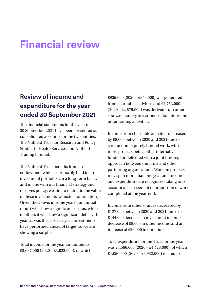## <span id="page-27-0"></span>**Financial review**

### **Review of income and expenditure for the year ended 30 September 2021**

The financial statements for the year to 30 September 2021 have been presented as consolidated accounts for the two entities: The Nuffield Trust for Research and Policy Studies in Health Services and Nuffield Trading Limited.

The Nuffield Trust benefits from an endowment which is primarily held in an investment portfolio. On a long-term basis, and in line with our financial strategy and reserves policy, we aim to maintain the value of these investments (adjusted for inflation). Given the above, in some years our annual report will show a significant surplus, while in others it will show a significant deficit. This year, as was the case last year, investments have performed ahead of target, so we are showing a surplus.

Total income for the year amounted to £3,687,000 (2020 – £3,822,000), of which £935,000 (2020 – £943,000) was generated from charitable activities and £2,752,000 (2020 – £2,879,000) was derived from other sources, namely investments, donations and other trading activities.

Income from charitable activities decreased by £8,000 between 2020 and 2021 due to a reduction in purely funded work, with more projects being either internally funded or delivered with a joint funding approach between the Trust and other partnering organisations. Work on projects may span more than one year and income and expenditure are recognised taking into account an assessment of proportion of work completed at the year-end.

Income from other sources decreased by £127,000 between 2020 and 2021 due to a £144,000 decrease in investment income, a decrease of £8,000 in other income and an increase of £26,000 in donations.

Total expenditure for the Trust for the year was £4,566,000 (2020 – £4,428,000), of which £4,056,000 (2020 – £3,932,000) related to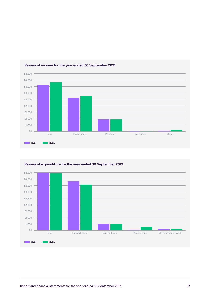

#### **Review of income for the year ended 30 September 2021**



**Review of expenditure for the year ended 30 September 2021**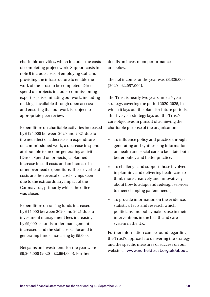charitable activities, which includes the costs of completing project work. Support costs in note 9 include costs of employing staff and providing the infrastructure to enable the work of the Trust to be completed. Direct spend on projects includes commissioning expertise; disseminating our work, including making it available through open access; and ensuring that our work is subject to appropriate peer review.

Expenditure on charitable activities increased by £124,000 between 2020 and 2021 due to the net effect of a decrease in expenditure on commissioned work, a decrease in spend attributable to income generating activities (Direct Spend on projects), a planned increase in staff costs and an increase in other overhead expenditure. These overhead costs are the reversal of cost savings seen due to the extraordinary impact of the Coronavirus, primarily whilst the office was closed.

Expenditure on raising funds increased by £14,000 between 2020 and 2021 due to investment management fees increasing by £9,000 as funds under management increased, and the staff costs allocated to generating funds increasing by £5,000.

Net gains on investments for the year were £9,205,000 (2020 – £2,664,000). Further

details on investment performance are below.

The net income for the year was £8,326,000  $(2020 - \pounds2, 057, 000).$ 

The Trust is nearly two years into a 5 year strategy, covering the period 2020-2025, in which it lays out the plans for future periods. This five year strategy lays out the Trust's core objectives in pursuit of achieving the charitable purpose of the organisation:

- To influence policy and practice through generating and synthesising information on health and social care to facilitate both better policy and better practice.
- To challenge and support those involved in planning and delivering healthcare to think more creatively and innovatively about how to adapt and redesign services to meet changing patient needs;
- To provide information on the evidence, statistics, facts and research which politicians and policymakers use in their interventions in the health and care system in the UK.

Further information can be found regarding the Trust's approach to delivering the strategy and the specific measures of success on our website at [www.nuffieldtrust.org.uk/about](http://www.nuffieldtrust.org.uk/about).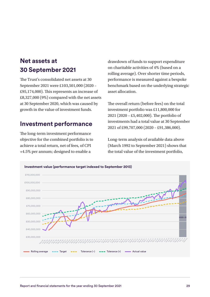### **Net assets at 30 September 2021**

The Trust's consolidated net assets at 30 September 2021 were £103,501,000 (2020 – £95,174,000). This represents an increase of £8,327,000 (9%) compared with the net assets at 30 September 2020, which was caused by growth in the value of investment funds.

#### **Investment performance**

The long-term investment performance objective for the combined portfolio is to achieve a total return, net of fees, of CPI +4.5% per annum; designed to enable a

drawdown of funds to support expenditure on charitable activities of 4% (based on a rolling average). Over shorter time periods, performance is measured against a bespoke benchmark based on the underlying strategic asset allocation.

The overall return (before fees) on the total investment portfolio was £11,800,000 for 2021 (2020 – £5,402,000). The portfolio of investments had a total value at 30 September 2021 of £99,707,000 (2020 – £91,386,000).

Long-term analysis of available data above (March 1992 to September 2021) shows that the total value of the investment portfolio,

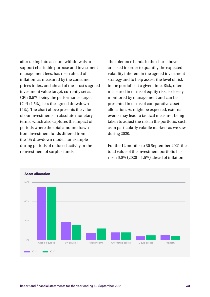after taking into account withdrawals to support charitable purpose and investment management fees, has risen ahead of inflation, as measured by the consumer prices index, and ahead of the Trust's agreed investment value target, currently set as CPI+0.5%, being the performance target (CPI+4.5%), less the agreed drawdown (4%). The chart above presents the value of our investments in absolute monetary terms, which also captures the impact of periods where the total amount drawn from investment funds differed from the 4% drawdown model, for example during periods of reduced activity or the reinvestment of surplus funds.

The tolerance bands in the chart above are used in order to quantify the expected volatility inherent in the agreed investment strategy and to help assess the level of risk in the portfolio at a given time. Risk, often measured in terms of equity risk, is closely monitored by management and can be presented in terms of comparative asset allocation. As might be expected, external events may lead to tactical measures being taken to adjust the risk in the portfolio, such as in particularly volatile markets as we saw during 2020.

For the 12 months to 30 September 2021 the total value of the investment portfolio has risen 6.0% (2020 – 1.5%) ahead of inflation,

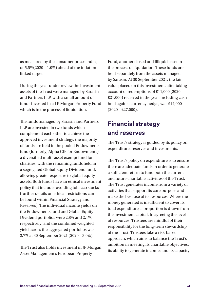as measured by the consumer prices index, or 5.5%(2020 – 1.0%) ahead of the inflation linked target.

During the year under review the investment assets of the Trust were managed by Sarasin and Partners LLP, with a small amount of funds invested in a J P Morgan Property Fund which is in the process of liquidation.

The funds managed by Sarasin and Partners LLP are invested in two funds which complement each other to achieve the approved investment strategy; the majority of funds are held in the pooled Endowments fund (formerly, Alpha CIF for Endowments), a diversified multi-asset exempt fund for charities, with the remaining funds held in a segregated Global Equity Dividend fund, allowing greater exposure to global equity assets. Both funds have an ethical investment policy that includes avoiding tobacco stocks (further details on ethical restrictions can be found within Financial Strategy and Reserves). The individual income yields on the Endowments fund and Global Equity Dividend portfolios were 2.8% and 2.1%, respectively, and the combined weighted yield across the aggregated portfolios was 2.7% at 30 September 2021 (2020 – 3.0%).

The Trust also holds investment in JP Morgan Asset Management's European Property

Fund, another closed and illiquid asset in the process of liquidation. These funds are held separately from the assets managed by Sarasin. At 30 September 2021, the fair value placed on this investment, after taking account of redemptions of £11,000 (2020 – £21,000) received in the year, including cash held against currency hedge, was £14,000  $(2020 - \pounds27,000)$ .

### **Financial strategy and reserves**

The Trust's strategy is guided by its policy on expenditure, reserves and investments.

The Trust's policy on expenditure is to ensure there are adequate funds in order to generate a sufficient return to fund both the current and future charitable activities of the Trust. The Trust generates income from a variety of activities that support its core purpose and make the best use of its resources. Where the money generated is insufficient to cover its total expenditure, a proportion is drawn from the investment capital. In agreeing the level of resources, Trustees are mindful of their responsibility for the long-term stewardship of the Trust. Trustees take a risk-based approach, which aims to balance the Trust's ambition in meeting its charitable objectives; its ability to generate income; and its capacity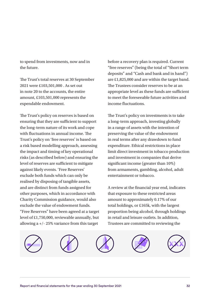to spend from investments, now and in the future.

The Trust's total reserves at 30 September 2021 were £103,501,000 . As set out in note 20 to the accounts, the entire amount, £103,501,000 represents the expendable endowment.

The Trust's policy on reserves is based on ensuring that they are sufficient to support the long-term nature of its work and cope with fluctuations in annual income. The Trust's policy on 'free reserves' is based on a risk based modelling approach, assessing the impact and timing of key operational risks (as described below) and ensuring the level of reserves are sufficient to mitigate against likely events. 'Free Reserves' exclude both funds which can only be realised by disposing of tangible assets, and are distinct from funds assigned for other purposes, which in accordance with Charity Commission guidance, would also exclude the value of endowment funds. "Free Reserves" have been agreed at a target level of £1,750,000, reviewable annually, but allowing a +/- 25% variance from this target

before a recovery plan is required. Current "free reserves" (being the total of "Short term deposits" and "Cash and bank and in hand") are £1,825,000 and are within the target band. The Trustees consider reserves to be at an appropriate level as these funds are sufficient to meet the foreseeable future activities and income fluctuations.

The Trust's policy on investments is to take a long-term approach, investing globally in a range of assets with the intention of preserving the value of the endowment in real terms after any drawdown to fund expenditure. Ethical restrictions in place limit direct investment in tobacco production and investment in companies that derive significant income (greater than 10%) from armaments, gambling, alcohol, adult entertainment or tobacco.

A review at the financial year end, indicates that exposure to these restricted areas amount to approximately 0.17% of our total holdings, or £165k, with the largest proportion being alcohol, through holdings in retail and leisure outlets. In addition, Trustees are committed to reviewing the







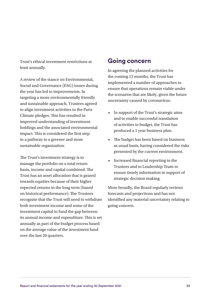Trust's ethical investment restrictions at least annually.

A review of the stance on Environmental, Social and Governance (ESG) issues during the year has led to improvements. In targeting a more environmentally friendly and sustainable approach, Trustees agreed to align investment activities to the Paris Climate pledges. This has resulted in improved understanding of investment holdings and the associated environmental impact. This is considered the first step in a pathway to a greener and more sustainable organisation.

The Trust's investment strategy is to manage the portfolio on a total return basis, income and capital combined. The Trust has an asset allocation that is geared towards equities because of their higher expected returns in the long term (based on historical performance). The Trustees recognise that the Trust will need to withdraw both investment income and some of the investment capital to fund the gap between its annual income and expenditure. This is set annually as part of the budget process based on the average value of the investment fund over the last 20 quarters.

#### **Going concern**

In agreeing the planned activities for the coming 12 months, the Trust has implemented a number of approaches to ensure that operations remain viable under the scenarios that are likely, given the future uncertainty caused by coronavirus:

- In support of the Trust's strategic aims and to enable successful translation of activities to budget, the Trust has produced a 1 year business plan.
- The budget has been based on business as usual basis, having considered the risks presented by the current environment.
- Increased financial reporting to the Trustees and to Leadership Team to ensure timely information in support of strategic decision making.

More broadly, the Board regularly reviews forecasts and projections and has not identified any material uncertainty relating to going concern.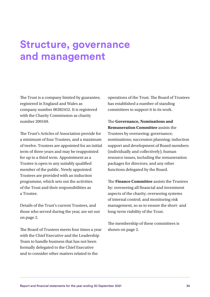## <span id="page-35-0"></span>**Structure, governance and management**

The Trust is a company limited by guarantee, registered in England and Wales as company number 00382452. It is registered with the Charity Commission as charity number 209169.

The Trust's Articles of Association provide for a minimum of four Trustees, and a maximum of twelve. Trustees are appointed for an initial term of three years and may be reappointed for up to a third term. Appointment as a Trustee is open to any suitably qualified member of the public. Newly appointed Trustees are provided with an induction programme, which sets out the activities of the Trust and their responsibilities as a Trustee.

Details of the Trust's current Trustees, and those who served during the year, are set out on page 2.

The Board of Trustees meets four times a year with the Chief Executive and the Leadership Team to handle business that has not been formally delegated to the Chief Executive and to consider other matters related to the

operations of the Trust. The Board of Trustees has established a number of standing committees to support it in its work.

The **Governance, Nominations and Remuneration Committee** assists the Trustees by overseeing: governance; nominations; succession planning; induction support and development of Board members (individually and collectively); human resource issues, including the remuneration packages for directors; and any other functions delegated by the Board.

The **Finance Committee** assists the Trustees by: overseeing all financial and investment aspects of the charity; overseeing systems of internal control; and monitoring risk management, so as to ensure the short- and long-term viability of the Trust.

The membership of these committees is shown on page 2.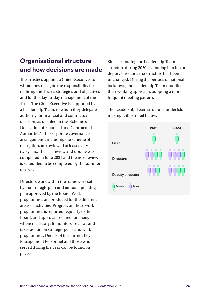# **Organisational structure and how decisions are made**

The Trustees appoint a Chief Executive, to whom they delegate the responsibility for realising the Trust's strategies and objectives and for the day-to-day management of the Trust. The Chief Executive is supported by a Leadership Team, to whom they delegate authority for financial and contractual decision, as detailed in the 'Scheme of Delegation of Financial and Contractual Authorities'. The corporate governance arrangements, including the scheme of delegation, are reviewed at least every two years. The last review and update was completed in June 2021 and the next review is scheduled to be completed by the summer of 2023.

Directors work within the framework set by the strategic plan and annual operating plan approved by the Board. Work programmes are produced for the different areas of activities. Progress on these work programmes is reported regularly to the Board, and approval secured for changes where necessary. It monitors, reviews and takes action on strategic goals and work programmes. Details of the current Key Management Personnel and those who served during the year can be found on page 3.

Since extending the Leadership Team structure during 2020, extending it to include deputy directors, the structure has been unchanged. During the periods of national lockdown, the Leadership Team modified their working approach, adopting a more frequent meeting pattern.

The Leadership Team structure for decision making is illustrated below:

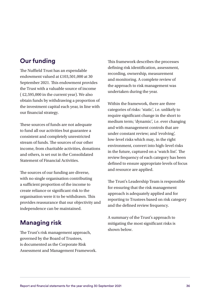# **Our funding**

The Nuffield Trust has an expendable endowment valued at £103,501,000 at 30 September 2021. This endowment provides the Trust with a valuable source of income ( £2,595,000 in the current year). We also obtain funds by withdrawing a proportion of the investment capital each year, in line with our financial strategy.

These sources of funds are not adequate to fund all our activities but guarantee a consistent and completely unrestricted stream of funds. The sources of our other income, from charitable activities, donations and others, is set out in the Consolidated Statement of Financial Activities.

The sources of our funding are diverse, with no single organisation contributing a sufficient proportion of the income to create reliance or significant risk to the organisation were it to be withdrawn. This provides reassurance that our objectivity and independence can be maintained.

# **Managing risk**

The Trust's risk management approach, governed by the Board of Trustees, is documented as the Corporate Risk Assessment and Management Framework. This framework describes the processes defining risk identification, assessment, recording, ownership, measurement and monitoring. A complete review of the approach to risk management was undertaken during the year.

Within the framework, there are three categories of risks: 'static', i.e. unlikely to require significant change in the short to medium term; 'dynamic', i.e. ever changing and with management controls that are under constant review; and 'evolving', low-level risks which may, in the right environment, convert into high-level risks in the future, captured on a 'watch list'. The review frequency of each category has been defined to ensure appropriate levels of focus and resource are applied.

The Trust's Leadership Team is responsible for ensuring that the risk management approach is adequately applied and for reporting to Trustees based on risk category and the defined review frequency.

A summary of the Trust's approach to mitigating the most significant risks is shown below.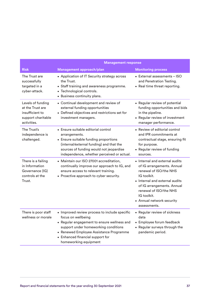|                                                                                               | <b>Management response</b>                                                                                                                                                                                                                                         |                                                                                                                                                                                                                                                             |  |  |  |
|-----------------------------------------------------------------------------------------------|--------------------------------------------------------------------------------------------------------------------------------------------------------------------------------------------------------------------------------------------------------------------|-------------------------------------------------------------------------------------------------------------------------------------------------------------------------------------------------------------------------------------------------------------|--|--|--|
| <b>Risk</b>                                                                                   | Management approach/plan                                                                                                                                                                                                                                           | <b>Monitoring process</b>                                                                                                                                                                                                                                   |  |  |  |
| The Trust are<br>successfully<br>targeted in a<br>cyber-attack.                               | • Application of IT Security strategy across<br>the Trust.<br>• Staff training and awareness programme.<br>• Technological controls.<br>• Business continuity plans.                                                                                               | • External assessments - ISO<br>and Penetration Testing.<br>• Real time threat reporting.                                                                                                                                                                   |  |  |  |
| Levels of funding<br>at the Trust are<br>insufficient to<br>support charitable<br>activities. | • Continual development and review of<br>external funding opportunities<br>• Defined objectives and restrictions set for<br>investment managers.                                                                                                                   | • Regular review of potential<br>funding opportunities and bids<br>in the pipeline.<br>• Regular review of investment<br>manager performance.                                                                                                               |  |  |  |
| The Trust's<br>independence is<br>challenged.                                                 | • Ensure suitable editorial control<br>arrangements.<br>• Ensure suitable funding proportions<br>(internal/external funding) and that the<br>sources of funding would not jeopardise<br>independence, whether perceived or actual.                                 | • Review of editorial control<br>and IPR commitments at<br>contractual stage, ensuring fit<br>for purpose.<br>• Regular review of funding<br>sources.                                                                                                       |  |  |  |
| There is a failing<br>in Information<br>Governance (IG)<br>controls at the<br>Trust.          | • Maintain our ISO 27001 accreditation,<br>continually improve our approach to IG, and<br>ensure access to relevant training.<br>• Proactive approach to cyber security.                                                                                           | • Internal and external audits<br>of IG arrangements. Annual<br>renewal of ISO/the NHS<br>IG toolkit.<br>• Internal and external audits<br>of IG arrangements. Annual<br>renewal of ISO/the NHS<br>IG toolkit.<br>• Annual network security<br>assessments. |  |  |  |
| There is poor staff<br>wellness or morale                                                     | • Improved review process to include specific<br>focus on wellbeing<br>• Regular engagement to ensure wellness and<br>support under homeworking conditions<br>• Renewed Employee Assistance Programme<br>• Enhanced financial support for<br>homeworking equipment | • Regular review of sickness<br>data<br>• Employee forum feedback<br>• Regular surveys through the<br>pandemic period.                                                                                                                                      |  |  |  |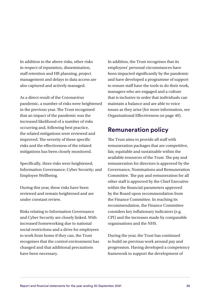In addition to the above risks, other risks in respect of reputation, dissemination, staff retention and HR planning, project management and delays to data access are also captured and actively managed.

As a direct result of the Coronavirus pandemic, a number of risks were heightened in the previous year. The Trust recognised that an impact of the pandemic was the increased likelihood of a number of risks occurring and, following best practice, the related mitigations were reviewed and improved. The severity of these specific risks and the effectiveness of the related mitigations has been closely monitored.

Specifically, three risks were heightened; Information Governance; Cyber Security; and Employee Wellbeing.

During this year, these risks have been reviewed and remain heightened and are under constant review.

Risks relating to Information Governance and Cyber Security are closely linked. With increased homeworking due to national social restrictions and a drive for employees to work from home if they can, the Trust recognises that the control environment has changed and that additional precautions have been necessary.

In addition, the Trust recognises that its employees' personal circumstances have been impacted significantly by the pandemic and have developed a programme of support to ensure staff have the tools to do their work, managers who are engaged and a culture that is inclusive in order that individuals can maintain a balance and are able to voice issues as they arise (for more information, see Organisational Effectiveness on page 40).

# **Remuneration policy**

The Trust aims to provide all staff with remuneration packages that are competitive, fair, equitable and sustainable within the available resources of the Trust. The pay and remuneration for directors is approved by the Governance, Nominations and Remuneration Committee. The pay and remuneration for all other staff is approved by the Chief Executive within the financial parameters approved by the Board upon recommendation from the Finance Committee. In reaching its recommendation, the Finance Committee considers key inflationary indicators (e.g. CPI) and the increases made by comparable organisations and the NHS.

During the year, the Trust has continued to build on previous work around pay and progression. Having developed a competency framework to support the development of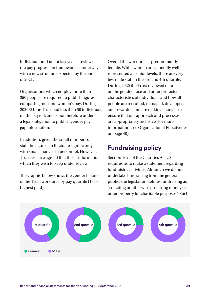individuals and talent last year, a review of the pay progression framework is underway, with a new structure expected by the end of 2021.

Organisations which employ more than 250 people are required to publish figures comparing men and women's pay. During 2020/21 the Trust had less than 50 individuals on the payroll, and is not therefore under a legal obligation to publish gender pay gap information.

In addition, given the small numbers of staff the figure can fluctuate significantly with small changes in personnel. However, Trustees have agreed that this is information which they wish to keep under review.

The graphic below shows the gender balance of the Trust workforce by pay quartile  $(1st =$ highest paid).

Overall the workforce is predominantly female. While women are generally well represented at senior levels, there are very few male staff in the 3rd and 4th quartile. During 2020 the Trust reviewed data on the gender, race and other protected characteristics of individuals and how all people are recruited, managed, developed and rewarded and are making changes to ensure that our approach and processes are appropriately inclusive (for more information, see Organisational Effectiveness on page 40).

# **Fundraising policy**

Section 162a of the Charities Act 2011 requires us to make a statement regarding fundraising activities. Although we do not undertake fundraising from the general public, the legislation defines fundraising as "soliciting or otherwise procuring money or other property for charitable purposes." Such

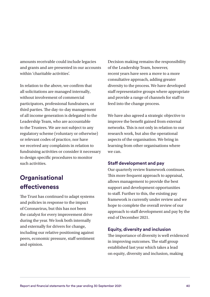amounts receivable could include legacies and grants and are presented in our accounts within 'charitable activities'.

In relation to the above, we confirm that all solicitations are managed internally, without involvement of commercial participators, professional fundraisers, or third parties. The day-to-day management of all income generation is delegated to the Leadership Team, who are accountable to the Trustees. We are not subject to any regulatory scheme (voluntary or otherwise) or relevant codes of practice, nor have we received any complaints in relation to fundraising activities or consider it necessary to design specific procedures to monitor such activities.

# **Organisational effectiveness**

The Trust has continued to adapt systems and policies in response to the impact of Coronavirus, but this has not been the catalyst for every improvement drive during the year. We look both internally and externally for drivers for change, including our relative positioning against peers, economic pressure, staff sentiment and opinion.

Decision making remains the responsibility of the Leadership Team, however, recent years have seen a move to a more consultative approach, adding greater diversity to the process. We have developed staff representative groups where appropriate and provide a range of channels for staff to feed into the change process.

We have also agreed a strategic objective to improve the benefit gained from external networks. This is not only in relation to our research work, but also the operational aspects of the organisation. We bring in learning from other organisations where we can.

### **Staff development and pay**

Our quarterly review framework continues. This more frequent approach to appraisal, allows management to provide the best support and development opportunities to staff. Further to this, the existing pay framework is currently under review and we hope to complete the overall review of our approach to staff development and pay by the end of December 2021.

#### **Equity, diversity and inclusion**

The importance of diversity is well evidenced in improving outcomes. The staff group established last year which takes a lead on equity, diversity and inclusion, making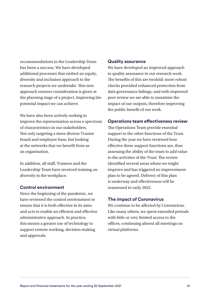recommendations to the Leadership Team has been a success. We have developed additional processes that embed an equity, diversity and inclusion approach to the research projects we undertake. This new approach ensures consideration is given at the planning stage of a project, improving the potential impact we can achieve.

We have also been actively seeking to improve the representation across a spectrum of characteristics in our stakeholders. Not only targeting a more diverse Trustee board and employee base, but looking at the networks that we benefit from as an organisation.

In addition, all staff, Trustees and the Leadership Team have received training on diversity in the workplace.

### **Control environment**

Since the beginning of the pandemic, we have reviewed the control environment to ensure that it is both effective in its aims and acts to enable an efficient and effective administrative approach. In practice, this means a greater use of technology to support remote working, decision making and approvals.

#### **Quality assurance**

We have developed an improved approach to quality assurance in our research work. The benefits of this are twofold: more robust checks provided enhanced protection from data governance failings; and with improved peer review we are able to maximise the impact of our outputs, therefore improving the public benefit of our work.

### **Operations team effectiveness review**

The Operations Team provide essential support to the other functions of the Trust. During the year we have reviewed how effective these support functions are, thus assessing the ability of the team to add value to the activities of the Trust. The review identified several areas where we might improve and has triggered an improvement plan to be agreed. Delivery of this plan is underway and effectiveness will be reassessed in early 2022.

### **The impact of Coronavirus**

We continue to be affected by Coronavirus. Like many others, we spent extended periods with little or very limited access to the offices, continuing almost all meetings on virtual platforms.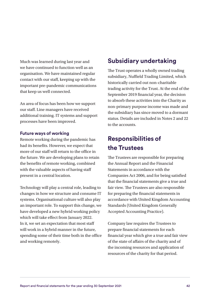Much was learned during last year and we have continued to function well as an organisation. We have maintained regular contact with our staff, keeping up with the important pre-pandemic communications that keep us well connected.

An area of focus has been how we support our staff. Line managers have received additional training. IT systems and support processes have been improved.

#### **Future ways of working**

Remote working during the pandemic has had its benefits. However, we expect that more of our staff will return to the office in the future. We are developing plans to retain the benefits of remote working, combined with the valuable aspects of having staff present in a central location.

Technology will play a central role, leading to changes in how we structure and consume IT systems. Organisational culture will also play an important role. To support this change, we have developed a new hybrid working policy which will take effect from January 2022. In it, we set an expectation that most staff will work in a hybrid manner in the future, spending some of their time both in the office and working remotely.

# **Subsidiary undertaking**

The Trust operates a wholly owned trading subsidiary, Nuffield Trading Limited, which historically carried out non-charitable trading activity for the Trust. At the end of the September 2019 financial year, the decision to absorb these activities into the Charity as non-primary purpose income was made and the subsidiary has since moved to a dormant status. Details are included in Notes 2 and 22 to the accounts.

# **Responsibilities of the Trustees**

The Trustees are responsible for preparing the Annual Report and the Financial Statements in accordance with the Companies Act 2006, and for being satisfied that the financial statements give a true and fair view. The Trustees are also responsible for preparing the financial statements in accordance with United Kingdom Accounting Standards (United Kingdom Generally Accepted Accounting Practice).

Company law requires the Trustees to prepare financial statements for each financial year which give a true and fair view of the state of affairs of the charity and of the incoming resources and application of resources of the charity for that period.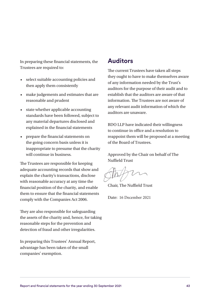In preparing these financial statements, the Trustees are required to:

- select suitable accounting policies and then apply them consistently
- make judgements and estimates that are reasonable and prudent
- state whether applicable accounting standards have been followed, subject to any material departures disclosed and explained in the financial statements
- prepare the financial statements on the going concern basis unless it is inappropriate to presume that the charity will continue in business.

The Trustees are responsible for keeping adequate accounting records that show and explain the charity's transactions, disclose with reasonable accuracy at any time the financial position of the charity, and enable them to ensure that the financial statements comply with the Companies Act 2006.

They are also responsible for safeguarding the assets of the charity and, hence, for taking reasonable steps for the prevention and detection of fraud and other irregularities.

In preparing this Trustees' Annual Report, advantage has been taken of the small companies' exemption.

# **Auditors**

The current Trustees have taken all steps they ought to have to make themselves aware of any information needed by the Trust's auditors for the purpose of their audit and to establish that the auditors are aware of that information. The Trustees are not aware of any relevant audit information of which the auditors are unaware.

BDO LLP have indicated their willingness to continue in office and a resolution to reappoint them will be proposed at a meeting of the Board of Trustees.

Approved by the Chair on behalf of The Nuffield Trust

Chair, The Nuffield Trust

Date: 16 December 2021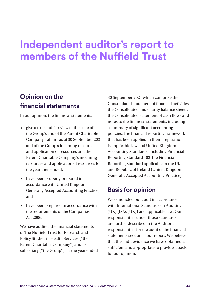# **Independent auditor's report to members of the Nuffield Trust**

# **Opinion on the financial statements**

In our opinion, the financial statements:

- give a true and fair view of the state of the Group's and of the Parent Charitable Company's affairs as at 30 September 2021 and of the Group's incoming resources and application of resources and the Parent Charitable Company's incoming resources and application of resources for the year then ended;
- have been properly prepared in accordance with United Kingdom Generally Accepted Accounting Practice; and
- have been prepared in accordance with the requirements of the Companies Act 2006.

We have audited the financial statements of The Nuffield Trust for Research and Policy Studies in Health Services ("the Parent Charitable Company") and its subsidiary ("the Group") for the year ended 30 September 2021 which comprise the Consolidated statement of financial activities, the Consolidated and charity balance sheets, the Consolidated statement of cash flows and notes to the financial statements, including a summary of significant accounting policies. The financial reporting framework that has been applied in their preparation is applicable law and United Kingdom Accounting Standards, including Financial Reporting Standard 102 The Financial Reporting Standard applicable in the UK and Republic of Ireland (United Kingdom Generally Accepted Accounting Practice).

# **Basis for opinion**

We conducted our audit in accordance with International Standards on Auditing (UK) (ISAs (UK)) and applicable law. Our responsibilities under those standards are further described in the Auditor's responsibilities for the audit of the financial statements section of our report. We believe that the audit evidence we have obtained is sufficient and appropriate to provide a basis for our opinion.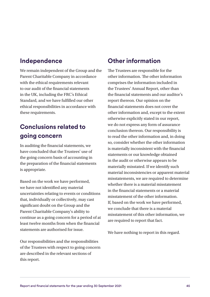# **Independence**

We remain independent of the Group and the Parent Charitable Company in accordance with the ethical requirements relevant to our audit of the financial statements in the UK, including the FRC's Ethical Standard, and we have fulfilled our other ethical responsibilities in accordance with these requirements.

# **Conclusions related to going concern**

In auditing the financial statements, we have concluded that the Trustees' use of the going concern basis of accounting in the preparation of the financial statements is appropriate.

Based on the work we have performed, we have not identified any material uncertainties relating to events or conditions that, individually or collectively, may cast significant doubt on the Group and the Parent Charitable Company's ability to continue as a going concern for a period of at least twelve months from when the financial statements are authorised for issue.

Our responsibilities and the responsibilities of the Trustees with respect to going concern are described in the relevant sections of this report.

# **Other information**

The Trustees are responsible for the other information. The other information comprises the information included in the Trustees' Annual Report, other than the financial statements and our auditor's report thereon. Our opinion on the financial statements does not cover the other information and, except to the extent otherwise explicitly stated in our report, we do not express any form of assurance conclusion thereon. Our responsibility is to read the other information and, in doing so, consider whether the other information is materially inconsistent with the financial statements or our knowledge obtained in the audit or otherwise appears to be materially misstated. If we identify such material inconsistencies or apparent material misstatements, we are required to determine whether there is a material misstatement in the financial statements or a material misstatement of the other information. If, based on the work we have performed, we conclude that there is a material misstatement of this other information, we are required to report that fact.

We have nothing to report in this regard.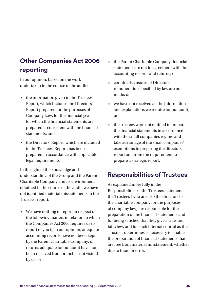# **Other Companies Act 2006 reporting**

In our opinion, based on the work undertaken in the course of the audit:

- the information given in the Trustees' Report, which includes the Directors' Report prepared for the purposes of Company Law, for the financial year for which the financial statements are prepared is consistent with the financial statements; and
- the Directors' Report, which are included in the Trustees' Report, has been prepared in accordance with applicable legal requirements.

In the light of the knowledge and understanding of the Group and the Parent Charitable Company and its environment obtained in the course of the audit, we have not identified material misstatements in the Trustee's report.

• We have nothing to report in respect of the following matters in relation to which the Companies Act 2006 requires us to report to you if, in our opinion; adequate accounting records have not been kept by the Parent Charitable Company, or returns adequate for our audit have not been received from branches not visited by us; or

- the Parent Charitable Company financial statements are not in agreement with the accounting records and returns; or
- certain disclosures of Directors' remuneration specified by law are not made; or
- we have not received all the information and explanations we require for our audit; or
- the trustees were not entitled to prepare the financial statements in accordance with the small companies regime and take advantage of the small companies' exemptions in preparing the directors' report and from the requirement to prepare a strategic report.

# **Responsibilities of Trustees**

As explained more fully in the Responsibilities of the Trustees statement, the Trustees (who are also the directors of the charitable company for the purposes of company law) are responsible for the preparation of the financial statements and for being satisfied that they give a true and fair view, and for such internal control as the Trustees determines is necessary to enable the preparation of financial statements that are free from material misstatement, whether due to fraud or error.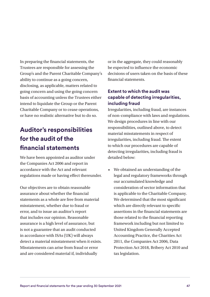In preparing the financial statements, the Trustees are responsible for assessing the Group's and the Parent Charitable Company's ability to continue as a going concern, disclosing, as applicable, matters related to going concern and using the going concern basis of accounting unless the Trustees either intend to liquidate the Group or the Parent Charitable Company or to cease operations, or have no realistic alternative but to do so.

# **Auditor's responsibilities for the audit of the financial statements**

We have been appointed as auditor under the Companies Act 2006 and report in accordance with the Act and relevant regulations made or having effect thereunder.

Our objectives are to obtain reasonable assurance about whether the financial statements as a whole are free from material misstatement, whether due to fraud or error, and to issue an auditor's report that includes our opinion. Reasonable assurance is a high level of assurance, but is not a guarantee that an audit conducted in accordance with ISAs (UK) will always detect a material misstatement when it exists. Misstatements can arise from fraud or error and are considered material if, individually

or in the aggregate, they could reasonably be expected to influence the economic decisions of users taken on the basis of these financial statements.

# **Extent to which the audit was capable of detecting irregularities, including fraud**

Irregularities, including fraud, are instances of non-compliance with laws and regulations. We design procedures in line with our responsibilities, outlined above, to detect material misstatements in respect of irregularities, including fraud. The extent to which our procedures are capable of detecting irregularities, including fraud is detailed below:

• We obtained an understanding of the legal and regulatory frameworks through our accumulated knowledge and consideration of sector information that is applicable to the Charitable Company. We determined that the most significant which are directly relevant to specific assertions in the financial statements are those related to the financial reporting framework including but not limited to United Kingdom Generally Accepted Accounting Practice, the Charities Act 2011, the Companies Act 2006, Data Protection Act 2018, Bribery Act 2010 and tax legislation.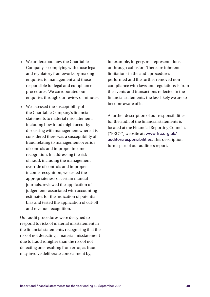- We understood how the Charitable Company is complying with those legal and regulatory frameworks by making enquiries to management and those responsible for legal and compliance procedures. We corroborated our enquiries through our review of minutes.
- We assessed the susceptibility of the Charitable Company's financial statements to material misstatement, including how fraud might occur by discussing with management where it is considered there was a susceptibility of fraud relating to management override of controls and improper income recognition. In addressing the risk of fraud, including the management override of controls and improper income recognition, we tested the appropriateness of certain manual journals, reviewed the application of judgements associated with accounting estimates for the indication of potential bias and tested the application of cut-off and revenue recognition.

Our audit procedures were designed to respond to risks of material misstatement in the financial statements, recognising that the risk of not detecting a material misstatement due to fraud is higher than the risk of not detecting one resulting from error, as fraud may involve deliberate concealment by,

for example, forgery, misrepresentations or through collusion. There are inherent limitations in the audit procedures performed and the further removed noncompliance with laws and regulations is from the events and transactions reflected in the financial statements, the less likely we are to become aware of it.

A further description of our responsibilities for the audit of the financial statements is located at the Financial Reporting Council's ("FRC's") website at: [www.frc.org.uk/](http://www.frc.org.uk/auditorsresponsibilities) [auditorsresponsibilities](http://www.frc.org.uk/auditorsresponsibilities). This description forms part of our auditor's report.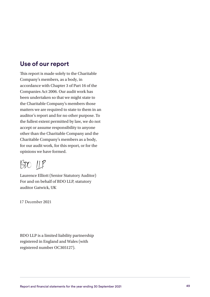# **Use of our report**

This report is made solely to the Charitable Company's members, as a body, in accordance with Chapter 3 of Part 16 of the Companies Act 2006. Our audit work has been undertaken so that we might state to the Charitable Company's members those matters we are required to state to them in an auditor's report and for no other purpose. To the fullest extent permitted by law, we do not accept or assume responsibility to anyone other than the Charitable Company and the Charitable Company's members as a body, for our audit work, for this report, or for the opinions we have formed.

 $B$ 

Laurence Elliott (Senior Statutory Auditor) For and on behalf of BDO LLP, statutory auditor Gatwick, UK

17 December 2021

BDO LLP is a limited liability partnership registered in England and Wales (with registered number OC305127).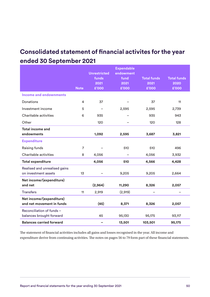# **Consolidated statement of financial activites for the year ended 30 September 2021**

|                                                       |                | <b>Unrestricted</b><br>funds<br>2021 | <b>Expendable</b><br>endowment<br>fund<br>2021 | <b>Total funds</b><br>2021 | <b>Total funds</b><br>2020 |
|-------------------------------------------------------|----------------|--------------------------------------|------------------------------------------------|----------------------------|----------------------------|
|                                                       | <b>Note</b>    | £'000                                | £'000                                          | £'000                      | £'000                      |
| <b>Income and endownments</b>                         |                |                                      |                                                |                            |                            |
| <b>Donations</b>                                      | 4              | 37                                   |                                                | 37                         | 11                         |
| Investment income                                     | 5              |                                      | 2,595                                          | 2,595                      | 2,739                      |
| Charitable activities                                 | 6              | 935                                  |                                                | 935                        | 943                        |
| Other                                                 |                | 120                                  |                                                | 120                        | 128                        |
| <b>Total income and</b><br>endowments                 |                | 1,092                                | 2,595                                          | 3,687                      | 3,821                      |
| <b>Expenditure</b>                                    |                |                                      |                                                |                            |                            |
| Raising funds                                         | $\overline{7}$ |                                      | 510                                            | 510                        | 496                        |
| Charitable activities                                 | 8              | 4,056                                |                                                | 4,056                      | 3,932                      |
| <b>Total expenditure</b>                              |                | 4,056                                | 510                                            | 4,566                      | 4,428                      |
| Realised and unrealised gains<br>on investment assets | 13             |                                      | 9,205                                          | 9,205                      | 2,664                      |
| Net income/(expenditure)<br>and net                   |                | (2,964)                              | 11,290                                         | 8,326                      | 2,057                      |
| <b>Transfers</b>                                      | 11             | 2,919                                | (2,919)                                        |                            |                            |
| Net income/(expenditure)<br>and net movement in funds |                | (45)                                 | 8,371                                          | 8,326                      | 2,057                      |
| Reconciliation of funds -<br>balances brought forward |                | 45                                   | 95,130                                         | 95,175                     | 93,117                     |
| <b>Balances carried forward</b>                       |                |                                      | 13,501                                         | 103,501                    | 95,175                     |

The statement of financial activities includes all gains and losses recognised in the year. All income and expenditure derive from continuing activities. The notes on pages 56 to 79 form part of these financial statements.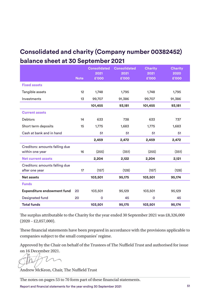# **Consolidated and charity (Company number 00382452) balance sheet at 30 September 2021**

|                                   |             | <b>Consolidated</b><br>2021 | <b>Consolidated</b><br>2021 | <b>Charity</b><br>2021 | <b>Charity</b><br>2020 |
|-----------------------------------|-------------|-----------------------------|-----------------------------|------------------------|------------------------|
|                                   | <b>Note</b> | £'000                       | £'000                       | £'000                  | £'000                  |
| <b>Fixed assets</b>               |             |                             |                             |                        |                        |
| Tangible assets                   | 12          | 1,748                       | 1,795                       | 1,748                  | 1,795                  |
| Investments                       | 13          | 99,707                      | 91,386                      | 99,707                 | 91,386                 |
|                                   |             | 101,455                     | 93,181                      | 101,455                | 93,181                 |
| <b>Current assets</b>             |             |                             |                             |                        |                        |
| Debtors                           | 14          | 633                         | 738                         | 633                    | 737                    |
| Short term deposits               | 15          | 1,775                       | 1,683                       | 1,775                  | 1,683                  |
| Cash at bank and in hand          |             | 51                          | 51                          | 51                     | 51                     |
|                                   |             | 2,459                       | 2,472                       | 2,459                  | 2,472                  |
| Creditors: amounts falling due    |             |                             |                             |                        |                        |
| within one year                   | 16          | (255)                       | (351)                       | (255)                  | (351)                  |
| <b>Net current assets</b>         |             | 2,204                       | 2,122                       | 2,204                  | 2,121                  |
| Creditors: amounts falling due    |             |                             |                             |                        |                        |
| after one year                    | 17          | (157)                       | (128)                       | (157)                  | (128)                  |
| <b>Net assets</b>                 |             | 103,501                     | 95,175                      | 103,501                | 95,174                 |
| <b>Funds</b>                      |             |                             |                             |                        |                        |
| <b>Expenditure endowment fund</b> | 20          | 103,501                     | 95,129                      | 103,501                | 95,129                 |
| Designated fund                   | 20          | $\mathsf{o}$                | 45                          | $\mathsf{o}$           | 45                     |
| <b>Total funds</b>                |             | 103,501                     | 95,175                      | 103,501                | 95,174                 |

The surplus attributable to the Charity for the year ended 30 September 2021 was £8,326,000  $(2020 - \pounds2, 057, 000).$ 

These financial statements have been prepared in accordance with the provisions applicable to companies subject to the small companies' regime.

Approved by the Chair on behalf of the Trustees of The Nuffield Trust and authorised for issue on 16 December 2021.

Andrew McKeon, Chair, The Nuffield Trust

The notes on pages 53 to 70 form part of these financial statements.

Report and financial statements for the year ending 30 September 2021 51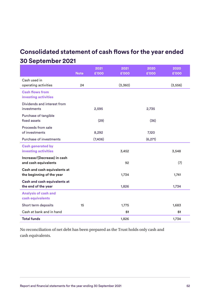# **Consolidated statement of cash flows for the year ended 30 September 2021**

|                                                     |             | 2021    | 2021    | 2020    | 2020     |
|-----------------------------------------------------|-------------|---------|---------|---------|----------|
|                                                     | <b>Note</b> | £'000   | £'000   | £'000   | £'000    |
| Cash used in                                        | 24          |         | (3,360) |         |          |
| operating activities                                |             |         |         |         | (3, 556) |
| <b>Cash flows from</b><br>investing activities      |             |         |         |         |          |
| Dividends and interest from<br>investments          |             | 2,595   |         | 2,735   |          |
| Purchase of tangible                                |             |         |         |         |          |
| fixed assets                                        |             | (29)    |         | (36)    |          |
| Proceeds from sale                                  |             |         |         |         |          |
| of investments                                      |             | 8,292   |         | 7,120   |          |
| Purchase of investments                             |             | (7,406) |         | (6,271) |          |
| <b>Cash generated by</b>                            |             |         |         |         |          |
| investing activities                                |             |         | 3,452   |         | 3,548    |
| Increase/(Decrease) in cash<br>and cash equivalents |             |         | 92      |         | (7)      |
| Cash and cash equivalents at                        |             |         |         |         |          |
| the beginning of the year                           |             |         | 1,734   |         | 1,741    |
| Cash and cash equivalents at                        |             |         |         |         |          |
| the end of the year                                 |             |         | 1,826   |         | 1,734    |
| <b>Analysis of cash and</b>                         |             |         |         |         |          |
| cash equivalents                                    |             |         |         |         |          |
| Short term deposits                                 | 15          |         | 1,775   |         | 1,683    |
| Cash at bank and in hand                            |             |         | 51      |         | 51       |
| <b>Total funds</b>                                  |             |         | 1,826   |         | 1,734    |

No reconciliation of net debt has been prepared as the Trust holds only cash and cash equivalents.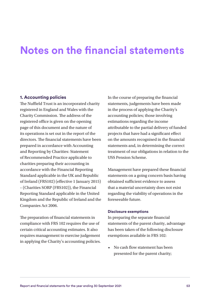# **Notes on the financial statements**

#### **1. Accounting policies**

The Nuffield Trust is an incorporated charity registered in England and Wales with the Charity Commission. The address of the registered office is given on the opening page of this document and the nature of its operations is set out in the report of the directors. The financial statements have been prepared in accordance with Accounting and Reporting by Charities: Statement of Recommended Practice applicable to charities preparing their accounting in accordance with the Financial Reporting Standard applicable in the UK and Republic of Ireland (FRS102) (effective 1 January 2015) – (Charities SORP (FRS102)), the Financial Reporting Standard applicable in the United Kingdom and the Republic of Ireland and the Companies Act 2006.

The preparation of financial statements in compliance with FRS 102 requires the use of certain critical accounting estimates. It also requires management to exercise judgement in applying the Charity's accounting policies. In the course of preparing the financial statements, judgements have been made in the process of applying the Charity's accounting policies; those involving estimations regarding the income attributable to the partial delivery of funded projects that have had a significant effect on the amounts recognised in the financial statements and, in determining the correct treatment of our obligations in relation to the USS Pension Scheme.

Management have prepared these financial statements on a going concern basis having obtained sufficient evidence to assess that a material uncertainty does not exist regarding the viability of operations in the foreseeable future.

#### **Disclosure exemptions**

In preparing the separate financial statements of the parent charity, advantage has been taken of the following disclosure exemptions available in FRS 102:

• No cash flow statement has been presented for the parent charity;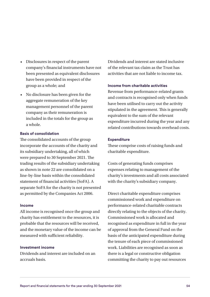- Disclosures in respect of the parent company's financial instruments have not been presented as equivalent disclosures have been provided in respect of the group as a whole; and
- No disclosure has been given for the aggregate remuneration of the key management personnel of the parent company as their remuneration is included in the totals for the group as a whole.

#### **Basis of consolidation**

The consolidated accounts of the group incorporate the accounts of the charity and its subsidiary undertaking, all of which were prepared to 30 September 2021. The trading results of the subsidiary undertaking as shown in note 22 are consolidated on a line-by-line basis within the consolidated statement of financial activities (SoFA). A separate SoFA for the charity is not presented as permitted by the Companies Act 2006.

#### **Income**

All income is recognised once the group and charity has entitlement to the resources, it is probable that the resources will be received, and the monetary value of the income can be measured with sufficient reliability.

#### **Investment income**

Dividends and interest are included on an accruals basis.

Dividends and interest are stated inclusive of the relevant tax claim as the Trust has activities that are not liable to income tax.

#### **Income from charitable activities**

Revenue from performance-related grants and contracts is recognised only when funds have been utilised to carry out the activity stipulated in the agreement. This is generally equivalent to the sum of the relevant expenditure incurred during the year and any related contributions towards overhead costs.

#### **Expenditure**

These comprise costs of raising funds and charitable expenditure.

Costs of generating funds comprises expenses relating to management of the charity's investments and all costs associated with the charity's subsidiary company.

Direct charitable expenditure comprises commissioned work and expenditure on performance-related charitable contracts directly relating to the objects of the charity. Commissioned work is allocated and recognised as expenditure in full in the year of approval from the General Fund on the basis of the anticipated expenditure during the tenure of each piece of commissioned work. Liabilities are recognised as soon as there is a legal or constructive obligation committing the charity to pay out resources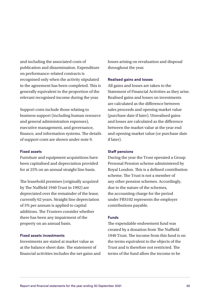and including the associated costs of publication and dissemination. Expenditure on performance-related contracts is recognised only when the activity stipulated in the agreement has been completed. This is generally equivalent to the proportion of the relevant recognised income during the year.

Support costs include those relating to business support (including human resource and general administration expenses), executive management, and governance, finance, and information systems. The details of support costs are shown under note 9.

#### **Fixed assets**

Furniture and equipment acquisitions have been capitalised and depreciation provided for at 25% on an annual straight line basis.

The leasehold premises (originally acquired by The Nuffield 1940 Trust in 1992) are depreciated over the remainder of the lease, currently 62 years. Straight line depreciation of 5% per annum is applied to capital additions. The Trustees consider whether there has been any impairment of the property on an annual basis.

#### **Fixed assets investments**

Investments are stated at market value as at the balance sheet date. The statement of financial activities includes the net gains and losses arising on revaluation and disposal throughout the year.

#### **Realised gains and losses**

All gains and losses are taken to the Statement of Financial Activities as they arise. Realised gains and losses on investments are calculated as the difference between sales proceeds and opening market value (purchase date if later). Unrealised gains and losses are calculated as the difference between the market value at the year end and opening market value (or purchase date if later).

#### **Staff pensions**

During the year the Trust operated a Group Personal Pension scheme administered by Royal London. This is a defined contribution scheme. The Trust is not a member of any other pension schemes. Accordingly, due to the nature of the schemes, the accounting charge for the period under FRS102 represents the employer contributions payable.

#### **Funds**

The expendable endowment fund was created by a donation from The Nuffield 1940 Trust. The income from this fund is on the terms equivalent to the objects of the Trust and is therefore not restricted. The terms of the fund allow the income to be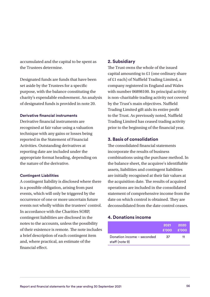accumulated and the capital to be spent as the Trustees determine.

Designated funds are funds that have been set aside by the Trustees for a specific purpose, with the balance constituting the charity's expendable endowment. An analysis of designated funds is provided in note 20.

#### **Derivative financial instruments**

Derivative financial instruments are recognised at fair value using a valuation technique with any gains or losses being reported in the Statement of Financial Activities. Outstanding derivatives at reporting date are included under the appropriate format heading, depending on the nature of the derivative.

#### **Contingent Liabilities**

A contingent liability is disclosed where there is a possible obligation, arising from past events, which will only be triggered by the occurrence of one or more uncertain future events not wholly within the trustees' control. In accordance with the Charities SORP, contingent liabilities are disclosed in the notes to the accounts, unless the possibility of their existence is remote. The note includes a brief description of each contingent item and, where practical, an estimate of the financial effect.

#### **2. Subsidiary**

The Trust owns the whole of the issued capital amounting to £1 (one ordinary share of £1 each) of Nuffield Trading Limited, a company registered in England and Wales with number 06898100. Its principal activity is non-charitable trading activity not covered by the Trust's main objectives. Nuffield Trading Limited gift aids its entire profit to the Trust. As previously noted, Nuffield Trading Limited has ceased trading activity prior to the beginning of the financial year.

#### **3. Basis of consolidation**

The consolidated financial statements incorporate the results of business combinations using the purchase method. In the balance sheet, the acquiree's identifiable assets, liabilities and contingent liabilities are initially recognised at their fair values at the acquisition date. The results of acquired operations are included in the consolidated statement of comprehensive income from the date on which control is obtained. They are deconsolidated from the date control ceases.

#### **4. Donations income**

|                                              | 2021 2020<br>$£'000$ $£'000$ |    |
|----------------------------------------------|------------------------------|----|
| Donation income - seconded<br>staff (note 9) | .37                          | 11 |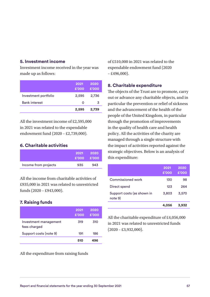### **5. Investment income**

Investment income received in the year was made up as follows:

|                      | 2021<br>£'000 | 2020<br>£'000 |
|----------------------|---------------|---------------|
| Investment portfolio | 2,595         | 2,736         |
| <b>Bank interest</b> | Ω             | 3             |
|                      | 2,595         | 2,739         |

All the investment income of £2,595,000 in 2021 was related to the expendable endowment fund (2020 – £2,739,000).

### **6. Charitable activities**

|                      | 2021<br>$£'000$ £'000 | - 2020 |
|----------------------|-----------------------|--------|
| Income from projects | 935                   | 943    |

All the income from charitable activities of £935,000 in 2021 was related to unrestricted funds (2020 – £943,000).

### **7. Raising funds**

|                                       | 2021<br>£'000 | 2020<br>£'000 |
|---------------------------------------|---------------|---------------|
| Investment management<br>fees charged | 319           | 310           |
| Support costs (note 9)                | 191           | 186           |
|                                       | 510           |               |

All the expenditure from raising funds

of £510,000 in 2021 was related to the expendable endowment fund (2020  $-£496,000$ ).

### **8. Charitable expenditure**

The objects of the Trust are to promote, carry out or advance any charitable objects, and in particular the prevention or relief of sickness and the advancement of the health of the people of the United Kingdom, in particular through the promotion of improvements in the quality of health care and health policy. All the activities of the charity are managed through a single structure with the impact of activities reported against the strategic objectives. Below is an analysis of this expenditure:

|                                       | 2021<br>£'000 | 2020<br>£'000 |
|---------------------------------------|---------------|---------------|
| Commissioned work                     | 130           | 98            |
| Direct spend                          | 123           | 264           |
| Support costs (as shown in<br>note 9) | 3,803         | 3,570         |
|                                       | 4.056         | 3.932         |

All the charitable expenditure of £4,056,000 in 2021 was related to unrestricted funds  $(2020 - \text{\pounds}3,932,000).$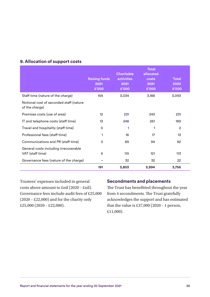|                                                           | <b>Raising funds</b><br>2021<br>£'000 | <b>Charitable</b><br><b>activities</b><br>2021<br>£'000 | <b>Total</b><br>allocated<br>costs<br>2021<br>£'000 | <b>Total</b><br>2020<br>£'000 |
|-----------------------------------------------------------|---------------------------------------|---------------------------------------------------------|-----------------------------------------------------|-------------------------------|
| Staff time (nature of the charge)                         | 154                                   | 3,034                                                   | 3,188                                               | 3,093                         |
| Notional cost of seconded staff (nature<br>of the charge) |                                       |                                                         |                                                     |                               |
| Premises costs (use of area)                              | 12                                    | 231                                                     | 243                                                 | 231                           |
| IT and telephone costs (staff time)                       | 13                                    | 248                                                     | 261                                                 | 189                           |
| Travel and hospitality (staff time)                       | 0                                     | 1                                                       | 1                                                   | $\overline{2}$                |
| Professional fees (staff time)                            | 1                                     | 16                                                      | 17                                                  | 13                            |
| Communications and PR (staff time)                        | 5                                     | 89                                                      | 94                                                  | 82                            |
| General costs including irrecoverable<br>VAT (staff time) | 6                                     | 115                                                     | 121                                                 | 113                           |
| Governance fees (nature of the charge)                    |                                       | 32                                                      | 32                                                  | 22                            |
|                                                           | 191                                   | 3,803                                                   | 3,994                                               | 3,756                         |

# **9. Allocation of support costs**

Trustees' expenses included in general costs above amount to £nil (2020 – £nil). Governance fees include audit fees of £25,000 (2020 – £22,000) and for the charity only £25,000 (2020 – £22,000).

### **Secondments and placements**

The Trust has benefitted throughout the year from 4 secondments. The Trust gratefully acknowledges the support and has estimated that the value is £37,000 (2020 – 1 person, £11,000).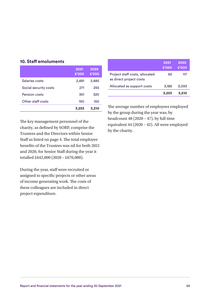| <b>10. Staff emoluments</b> |               |               |
|-----------------------------|---------------|---------------|
|                             | 2021<br>£'000 | 2020<br>£'000 |
| Salaries costs              | 2,481         | 2,485         |
| Social security costs       | 271           | 255           |
| Pension costs               | 351           | 320           |
| Other staff costs           | 150           | 150           |
|                             | 3,253         | 3,210         |

| 2021<br>£'000 | 2020<br>£'000 |
|---------------|---------------|
| 65            | 117           |
| 3,188         | 3,093         |
| 3,253         | 3,210         |
|               |               |

by the charity.

The key management personnel of the charity, as defined by SORP, comprise the Trustees and the Directors within Senior Staff as listed on page 4. The total employee benefits of the Trustees was nil for both 2021 and 2020, for Senior Staff during the year it totalled £642,000 (2020 – £670,000).

During the year, staff were recruited or assigned to specific projects or other areas of income generating work. The costs of these colleagues are included in direct project expenditure.

The average number of employees employed by the group during the year was, by headcount 48 (2020 – 47), by full time equivalent 44 (2020 – 42). All were employed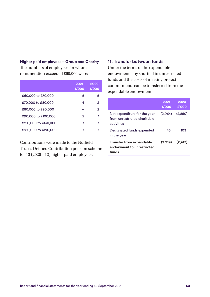#### **Higher paid employees – Group and Charity**

The numbers of employees for whom remuneration exceeded £60,000 were:

|                      | 2021<br>£'000 | 2020<br>£'000 |
|----------------------|---------------|---------------|
| £60,000 to £70,000   | 5             | 5             |
| £70,000 to £80,000   | 4             | 2             |
| £80,000 to £90,000   |               | 2             |
| £90,000 to £100,000  | 2             |               |
| £120,000 to £130,000 |               |               |
| £180,000 to £190,000 |               |               |

Contributions were made to the Nuffield Trust's Defined Contribution pension scheme for 13 (2020 – 12) higher paid employees.

### **11. Transfer between funds**

Under the terms of the expendable endowment, any shortfall in unrestricted funds and the costs of meeting project commitments can be transferred from the expendable endowment.

|                                                                            | 2021<br>£'000 | 2020<br>£'000 |
|----------------------------------------------------------------------------|---------------|---------------|
| Net expenditure for the year<br>from unrestricted charitable<br>activities | (2.964)       | (2,850)       |
| Designated funds expended<br>in the year                                   | 45            | 103           |
| <b>Transfer from expendable</b><br>endowment to unrestricted<br>funds      | (2,919)       | (2,747)       |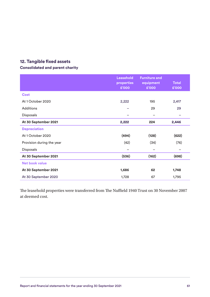# **12. Tangible fixed assets**

### **Consolidated and parent charity**

|                           | <b>Leasehold</b><br>properties<br>£'000 | <b>Furniture and</b><br>equipment<br>£'000 | <b>Total</b><br>£'000 |
|---------------------------|-----------------------------------------|--------------------------------------------|-----------------------|
| <b>Cost</b>               |                                         |                                            |                       |
| At 1 October 2020         | 2,222                                   | 195                                        | 2,417                 |
| <b>Additions</b>          |                                         | 29                                         | 29                    |
| Disposals                 |                                         | -                                          |                       |
| At 30 September 2021      | 2,222                                   | 224                                        | 2,446                 |
| <b>Depreciation</b>       |                                         |                                            |                       |
| At 1 October 2020         | (494)                                   | (128)                                      | (622)                 |
| Provision during the year | (42)                                    | (34)                                       | (76)                  |
| Disposals                 |                                         |                                            |                       |
| At 30 September 2021      | (536)                                   | (162)                                      | (698)                 |
| <b>Net book value</b>     |                                         |                                            |                       |
| At 30 September 2021      | 1,686                                   | 62                                         | 1,748                 |
| At 30 September 2020      | 1,728                                   | 67                                         | 1,795                 |

The leasehold properties were transferred from The Nuffield 1940 Trust on 30 November 2007 at deemed cost.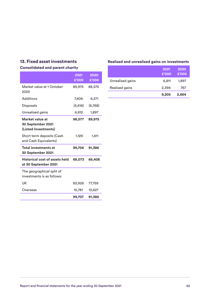# **13. Fixed asset investments**

### **Consolidated and parent charity**

|                                                               | 2021<br>£'000 | 2020<br>£'000 |
|---------------------------------------------------------------|---------------|---------------|
| Market value at 1 October<br>2020                             | 89,975        | 88,575        |
| Additions                                                     | 7,406         | 6,271         |
| <b>Disposals</b>                                              | (5,616)       | (6,768)       |
| Unrealised gains                                              | 6,812         | 1,897         |
| Market value at<br>30 September 2021<br>(Listed Investments)  | 98,577        | 89,975        |
| Short term deposits (Cash<br>and Cash Equivalents)            | 1,129         | 1,411         |
| <b>Total investments at</b><br>30 September 2021              | 99,706        | 91,386        |
| <b>Historical cost of assets held</b><br>at 30 September 2021 | 68,073        | 66,408        |
| The geographical split of<br>investments is as follows:       |               |               |
| UK                                                            | 83,926        | 77,759        |
| Overseas                                                      | 15,781        | 13,627        |
|                                                               | 99,707        | 91,386        |

### **Realised and unrealised gains on investments**

|                  | 2021<br>£'000 | 2020<br>£'000 |
|------------------|---------------|---------------|
| Unrealised gains | 6,811         | 1,897         |
| Realised gains   | 2,394         | 767           |
|                  | 9,205         | 2,664         |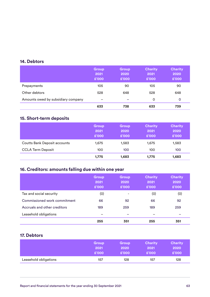### **14. Debtors**

|                                    | <b>Group</b><br>2021<br>£'000 | <b>Group</b><br>2020<br>£'000 | <b>Charity</b><br>2021<br>£'000 | <b>Charity</b><br>2020<br>£'000 |
|------------------------------------|-------------------------------|-------------------------------|---------------------------------|---------------------------------|
| Prepayments                        | 105                           | 90                            | 105                             | 90                              |
| Other debtors                      | 528                           | 648                           | 528                             | 648                             |
| Amounts owed by subsidiary company | -                             | -                             | 0                               | 0                               |
|                                    | 633                           | 738                           | 633                             | 739                             |

# **15. Short-term deposits**

|                                     | Group<br>2021<br>£'000 | Group<br>2020<br>£'000 | <b>Charity</b><br>2021<br>£'000 | <b>Charity</b><br>2020<br>£'000 |
|-------------------------------------|------------------------|------------------------|---------------------------------|---------------------------------|
| <b>Coutts Bank Deposit accounts</b> | 1.675                  | 1,583                  | 1.675                           | 1,583                           |
| <b>CCLA Term Deposit</b>            | 100                    | 100                    | 100                             | 100                             |
|                                     | 1,775                  | 1,683                  | 1,775                           | 1,683                           |

# **16. Creditors: amounts falling due within one year**

|                              | Group<br>2021<br>£'000 | Group<br>2020<br>£'000 | <b>Charity</b><br>2021<br>£'000 | <b>Charity</b><br>2020<br>£'000 |
|------------------------------|------------------------|------------------------|---------------------------------|---------------------------------|
| Tax and social security      | (0)                    | ۰                      | (0)                             | (0)                             |
| Commissioned work commitment | 66                     | 92                     | 66                              | 92                              |
| Accruals and other creditors | 189                    | 259                    | 189                             | 259                             |
| Leasehold obligations        |                        |                        |                                 |                                 |
|                              | 255                    | 351                    | 255                             | 351                             |

# **17. Debtors**

|                       | <b>Group</b> | <b>Group</b> | <b>Charity</b> | <b>Charity</b> |
|-----------------------|--------------|--------------|----------------|----------------|
|                       | 2021         | 2020         | 2021           | 2020           |
|                       | £'000        | £'000        | £'000          | £'000          |
| Leasehold obligations | 157          | 128          | 157            | 128            |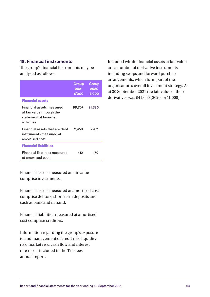### **18. Financial instruments**

The group's financial instruments may be analysed as follows:

|                                                                                                | Group<br>2021<br>£'000 | Group<br>2020<br>£'000 |
|------------------------------------------------------------------------------------------------|------------------------|------------------------|
| <b>Financial assets</b>                                                                        |                        |                        |
| Financial assets measured<br>at fair value through the<br>statement of financial<br>activities | 99,707                 | 91,386                 |
| Financial assets that are debt<br>instruments measured at<br>amortised cost                    | 2,458                  | 2,471                  |
| <b>Financial liabilities</b>                                                                   |                        |                        |
| Financial liabilities measured<br>at amortised cost                                            | 412                    | 479                    |

Financial assets measured at fair value comprise investments.

Financial assets measured at amortised cost comprise debtors, short-term deposits and cash at bank and in hand.

Financial liabilities measured at amortised cost comprise creditors.

Information regarding the group's exposure to and management of credit risk, liquidity risk, market risk, cash flow and interest rate risk is included in the Trustees' annual report.

Included within financial assets at fair value are a number of derivative instruments, including swaps and forward purchase arrangements, which form part of the organisation's overall investment strategy. As at 30 September 2021 the fair value of these derivatives was £41,000 (2020 – £41,000).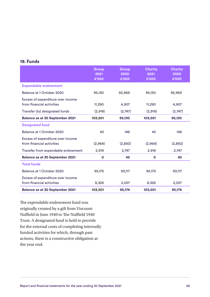### **19. Funds**

|                                                                | Group<br>2021<br>£'000 | <b>Group</b><br>2020<br>£'000 | <b>Charity</b><br>2021<br>£'000 | <b>Charity</b><br>2020<br>£'000 |
|----------------------------------------------------------------|------------------------|-------------------------------|---------------------------------|---------------------------------|
| <b>Expendable endowment</b>                                    |                        |                               |                                 |                                 |
| Balance at 1 October 2020                                      | 95,130                 | 92,969                        | 95,130                          | 92,969                          |
| Excess of expenditure over income<br>from financial activities | 11,290                 | 4,907                         | 11,290                          | 4,907                           |
| Transfer (to) designated funds                                 | (2,919)                | (2,747)                       | (2,919)                         | (2,747)                         |
| <b>Balance as at 30 September 2021</b>                         | 103,501                | 95,130                        | 103,501                         | 95,130                          |
| <b>Designated fund</b>                                         |                        |                               |                                 |                                 |
| Balance at 1 October 2020                                      | 45                     | 148                           | 45                              | 148                             |
| Excess of expenditure over income<br>from financial activities | (2,964)                | (2,850)                       | (2,964)                         | (2,850)                         |
| Transfer from expendable endowment                             | 2,919                  | 2,747                         | 2,919                           | 2,747                           |
| <b>Balance as at 30 September 2021</b>                         | O                      | 45                            | $\mathbf 0$                     | 45                              |
| <b>Total funds</b>                                             |                        |                               |                                 |                                 |
| Balance at 1 October 2020                                      | 95,175                 | 93,117                        | 95,175                          | 93,117                          |
| Excess of expenditure over income<br>from financial activities | 8,326                  | 2,057                         | 8,326                           | 2,057                           |
| <b>Balance as at 30 September 2021</b>                         | 103,501                | 95,174                        | 103,501                         | 95,174                          |

The expendable endowment fund was originally created by a gift from Viscount Nuffield in June 1940 to The Nuffield 1940 Trust. A designated fund is held to provide for the external costs of completing internally funded activities for which, through past actions, there is a constructive obligation at the year end.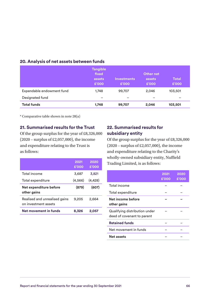|                           | <b>Tangible</b><br>fixed<br>assets<br>£'000 | <b>Investments</b><br>£'000 | Other net<br>assets<br>£'000 | <b>Total</b><br>£'000 |
|---------------------------|---------------------------------------------|-----------------------------|------------------------------|-----------------------|
| Expendable endowment fund | 1,748                                       | 99,707                      | 2,046                        | 103,501               |
| Designated fund           | -                                           | -                           |                              | -                     |
| <b>Total funds</b>        | 1,748                                       | 99,707                      | 2,046                        | 103,501               |

# **20. Analysis of net assets between funds**

\* Comparative table shown in note 28(a)

### **21. Summarised results for the Trust**

Of the group surplus for the year of £8,326,000 (2020 – surplus of £2,057,000), the income and expenditure relating to the Trust is as follows:

|                                                       | 2021<br>£'000 | 2020<br>£'000 |
|-------------------------------------------------------|---------------|---------------|
| Total income                                          | 3,687         | 3,821         |
| Total expenditure                                     | (4, 566)      | (4, 428)      |
| Net expenditure before<br>other gains                 | (879)         | (607)         |
| Realised and unrealised gains<br>on investment assets | 9,205         | 2,664         |
| Net movement in funds                                 | 8,326         | 2,057         |

### **22. Summarised results for subsidiary entity**

Of the group surplus for the year of £8,326,000 (2020 – surplus of £2,057,000), the income and expenditure relating to the Charity's wholly-owned subsidiary entity, Nuffield Trading Limited, is as follows:

|                                                             | 2021<br>£'000 | 2020<br>£'000 |
|-------------------------------------------------------------|---------------|---------------|
| Total income                                                |               |               |
| Total expenditure                                           |               |               |
| Net income before<br>other gains                            |               |               |
| Qualifying distribution under<br>deed of covenant to parent |               |               |
| <b>Retained funds</b>                                       |               |               |
| Net movement in funds                                       |               |               |
| Net assets                                                  |               |               |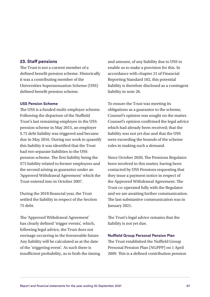### **23. Staff pensions**

The Trust is not a current member of a defined benefit pension scheme. Historically it was a contributing member of the Universities Superannuation Scheme (USS) defined benefit pension scheme.

#### **USS Pension Scheme**

The USS is a funded multi-employer scheme. Following the departure of the Nuffield Trust's last remaining employee in the USS pension scheme in May 2015, an employer S.75 debt liability was triggered and became due in May 2016. During our work to quantify this liability it was identified that the Trust had two separate liabilities to the USS pension scheme. The first liability being the S75 liability related to former employees and the second arising as guarantor under an 'Approved Withdrawal Agreement' which the Trust entered into in October 2007.

During the 2018 financial year, the Trust settled the liability in respect of the Section 75 debt.

The 'Approved Withdrawal Agreement' has clearly defined 'trigger events', which, following legal advice, the Trust does not envisage occurring in the foreseeable future. Any liability will be calculated as at the date of the 'triggering event'. As such there is insufficient probability, as to both the timing and amount, of any liability due to USS to enable us to make a provision for this. In accordance with chapter 21 of Financial Reporting Standard 102, this potential liability is therefore disclosed as a contingent liability in note 26.

To ensure the Trust was meeting its obligations as a guarantor to the scheme, Counsel's opinion was sought on the matter. Counsel's opinion confirmed the legal advice which had already been received; that the liability was not yet due and that the USS were exceeding the bounds of the scheme rules in making such a demand.

Since October 2020, The Pensions Regulator been involved in this matter, having been contacted by USS Pensions requesting that they issue a payment notice in respect of the Approved Withdrawal Agreement. The Trust co-operated fully with the Regulator and we are awaiting further communication. The last substantive communication was in January 2021.

The Trust's legal advice remains that the liability is not yet due.

#### **Nuffield Group Personal Pension Plan**

The Trust established the Nuffield Group Personal Pension Plan (NGPPP) on 1 April 2009. This is a defined contribution pension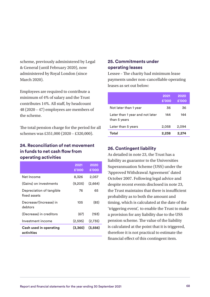scheme, previously administered by Legal & General (until February 2020), now administered by Royal London (since March 2020).

Employees are required to contribute a minimum of 4% of salary and the Trust contributes 14%. All staff, by headcount 48 (2020 – 47) employees are members of the scheme.

The total pension charge for the period for all schemes was £351,000 (2020 – £320,000).

### **24. Reconciliation of net movement in funds to net cash flow from operating activities**

|                                             | 2021<br>£'000 | 2020<br>£'000 |
|---------------------------------------------|---------------|---------------|
| Net Income                                  | 8,326         | 2,057         |
| (Gains) on investments                      | (9,205)       | (2,664)       |
| Depreciation of tangible<br>fixed assets    | 76            | 65            |
| Decrease/(Increase) in<br>debtors           | 105           | (85)          |
| (Decrease) in creditors                     | (67)          | (193)         |
| Investment income                           | (2,595)       | (2,735)       |
| <b>Cash used in operating</b><br>activities | (3,360)       | (3, 556)      |

### **25. Commitments under operating leases**

Lessee – The charity had minimum lease payments under non-cancellable operating leases as set out below:

|                                                 | 2021<br>£'000 | 2020<br>£'000 |
|-------------------------------------------------|---------------|---------------|
| Not later than 1 year                           | 36            | 36            |
| Later than 1 year and not later<br>than 5 years | 144           | 144           |
| Later than 5 years                              | 2,058         | 2,094         |
| Total                                           | 2,238         | 2.274         |

### **26. Contingent liability**

As detailed in note 23, the Trust has a liability as guarantor to the Universities Superannuation Scheme (USS) under the 'Approved Withdrawal Agreement' dated October 2007. Following legal advice and despite recent events disclosed in note 23, the Trust maintains that there is insufficient probability as to both the amount and timing, which is calculated at the date of the 'triggering event', to enable the Trust to make a provision for any liability due to the USS pension scheme. The value of the liability is calculated at the point that it is triggered, therefore it is not practical to estimate the financial effect of this contingent item.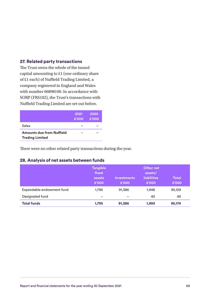### **27. Related party transactions**

The Trust owns the whole of the issued capital amounting to £1 (one ordinary share of £1 each) of Nuffield Trading Limited, a company registered in England and Wales with number 06898100. In accordance with SORP (FRS102), the Trust's transactions with Nuffield Trading Limited are set out below.

|                                                            | 2021<br>£'000 | 2020<br>£'000 |
|------------------------------------------------------------|---------------|---------------|
| Sales                                                      |               |               |
| <b>Amounts due from Nuffield</b><br><b>Trading Limited</b> |               |               |

There were no other related party transactions during the year.

### **28. Analysis of net assets between funds**

|                           | <b>Tangible</b><br>fixed<br>assets<br>£'000 | <b>Investments</b><br>£'000 | Other net<br>assets/<br><b>liabilities</b><br>£'000 | <b>Total</b><br>£'000 |
|---------------------------|---------------------------------------------|-----------------------------|-----------------------------------------------------|-----------------------|
| Expendable endowment fund | 1,795                                       | 91,386                      | 1,948                                               | 95,129                |
| Designated fund           | -                                           | -                           | 45                                                  | 45                    |
| <b>Total funds</b>        | 1,795                                       | 91,386                      | 1,993                                               | 95,174                |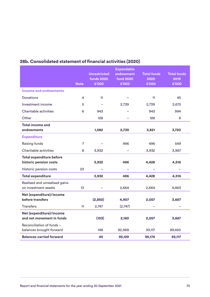|                                                       |                | <b>Unrestricted</b><br><b>funds 2020</b> | <b>Expendable</b><br>endowment<br><b>fund 2020</b> | <b>Total funds</b> | <b>Total funds</b> |
|-------------------------------------------------------|----------------|------------------------------------------|----------------------------------------------------|--------------------|--------------------|
|                                                       | <b>Note</b>    | £'000                                    | £'000                                              | 2020<br>£'000      | 2019<br>£'000      |
| <b>Income and endowments</b>                          |                |                                          |                                                    |                    |                    |
| <b>Donations</b>                                      | 4              | 11                                       |                                                    | 11                 | 45                 |
| Investment income                                     | 5              |                                          | 2,739                                              | 2,739              | 2,675              |
| Charitable activities                                 | 6              | 943                                      |                                                    | 943                | 994                |
| Other                                                 |                | 128                                      |                                                    | 128                | 6                  |
| <b>Total income and</b><br>endowments                 |                | 1,082                                    | 2,739                                              | 3,821              | 3,720              |
| <b>Expenditure</b>                                    |                |                                          |                                                    |                    |                    |
| Raising funds                                         | $\overline{7}$ |                                          | 496                                                | 496                | 549                |
| Charitable activities                                 | 8              | 3,932                                    | $\equiv$                                           | 3,932              | 3,967              |
| <b>Total expenditure before</b>                       |                |                                          |                                                    |                    |                    |
| historic pension costs                                |                | 3,932                                    | 496                                                | 4,428              | 4,516              |
| Historic pension costs                                | 23             |                                          |                                                    |                    |                    |
| <b>Total expenditure</b>                              |                | 3,932                                    | 496                                                | 4,428              | 4,516              |
| Realised and unrealised gains<br>on investment assets | 13             |                                          | 2,664                                              | 2,664              | 4,463              |
| Net (expenditure)/income                              |                |                                          |                                                    |                    |                    |
| before transfers                                      |                | (2,850)                                  | 4,907                                              | 2,057              | 3,667              |
| <b>Transfers</b>                                      | 11             | 2,747                                    | (2,747)                                            |                    |                    |
| Net (expenditure)/income<br>and net movement in funds |                | (103)                                    | 2,160                                              | 2,057              | 3,667              |
| Reconciliation of funds -<br>balances brought forward |                | 148                                      | 92,969                                             | 93,117             | 89,450             |
| <b>Balances carried forward</b>                       |                | 45                                       | 95,129                                             | 95,174             | 93,117             |

# **28b. Consolidated statement of financial activities (2020)**